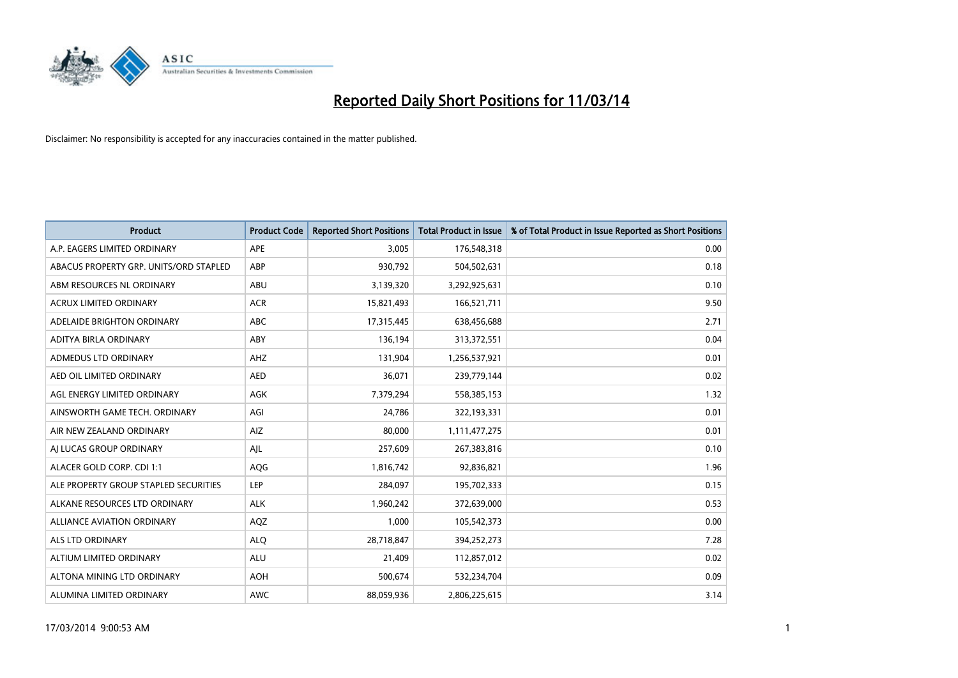

| <b>Product</b>                         | <b>Product Code</b> | <b>Reported Short Positions</b> | <b>Total Product in Issue</b> | % of Total Product in Issue Reported as Short Positions |
|----------------------------------------|---------------------|---------------------------------|-------------------------------|---------------------------------------------------------|
| A.P. EAGERS LIMITED ORDINARY           | APE                 | 3,005                           | 176,548,318                   | 0.00                                                    |
| ABACUS PROPERTY GRP. UNITS/ORD STAPLED | ABP                 | 930,792                         | 504,502,631                   | 0.18                                                    |
| ABM RESOURCES NL ORDINARY              | ABU                 | 3,139,320                       | 3,292,925,631                 | 0.10                                                    |
| ACRUX LIMITED ORDINARY                 | <b>ACR</b>          | 15,821,493                      | 166,521,711                   | 9.50                                                    |
| ADELAIDE BRIGHTON ORDINARY             | <b>ABC</b>          | 17,315,445                      | 638,456,688                   | 2.71                                                    |
| ADITYA BIRLA ORDINARY                  | ABY                 | 136,194                         | 313,372,551                   | 0.04                                                    |
| <b>ADMEDUS LTD ORDINARY</b>            | AHZ                 | 131,904                         | 1,256,537,921                 | 0.01                                                    |
| AED OIL LIMITED ORDINARY               | <b>AED</b>          | 36,071                          | 239,779,144                   | 0.02                                                    |
| AGL ENERGY LIMITED ORDINARY            | AGK                 | 7,379,294                       | 558,385,153                   | 1.32                                                    |
| AINSWORTH GAME TECH. ORDINARY          | AGI                 | 24,786                          | 322,193,331                   | 0.01                                                    |
| AIR NEW ZEALAND ORDINARY               | AIZ                 | 80,000                          | 1,111,477,275                 | 0.01                                                    |
| AI LUCAS GROUP ORDINARY                | AJL                 | 257,609                         | 267,383,816                   | 0.10                                                    |
| ALACER GOLD CORP. CDI 1:1              | AQG                 | 1,816,742                       | 92,836,821                    | 1.96                                                    |
| ALE PROPERTY GROUP STAPLED SECURITIES  | LEP                 | 284,097                         | 195,702,333                   | 0.15                                                    |
| ALKANE RESOURCES LTD ORDINARY          | <b>ALK</b>          | 1,960,242                       | 372,639,000                   | 0.53                                                    |
| ALLIANCE AVIATION ORDINARY             | AQZ                 | 1,000                           | 105,542,373                   | 0.00                                                    |
| <b>ALS LTD ORDINARY</b>                | <b>ALO</b>          | 28,718,847                      | 394,252,273                   | 7.28                                                    |
| ALTIUM LIMITED ORDINARY                | <b>ALU</b>          | 21,409                          | 112,857,012                   | 0.02                                                    |
| ALTONA MINING LTD ORDINARY             | <b>AOH</b>          | 500,674                         | 532,234,704                   | 0.09                                                    |
| ALUMINA LIMITED ORDINARY               | <b>AWC</b>          | 88,059,936                      | 2,806,225,615                 | 3.14                                                    |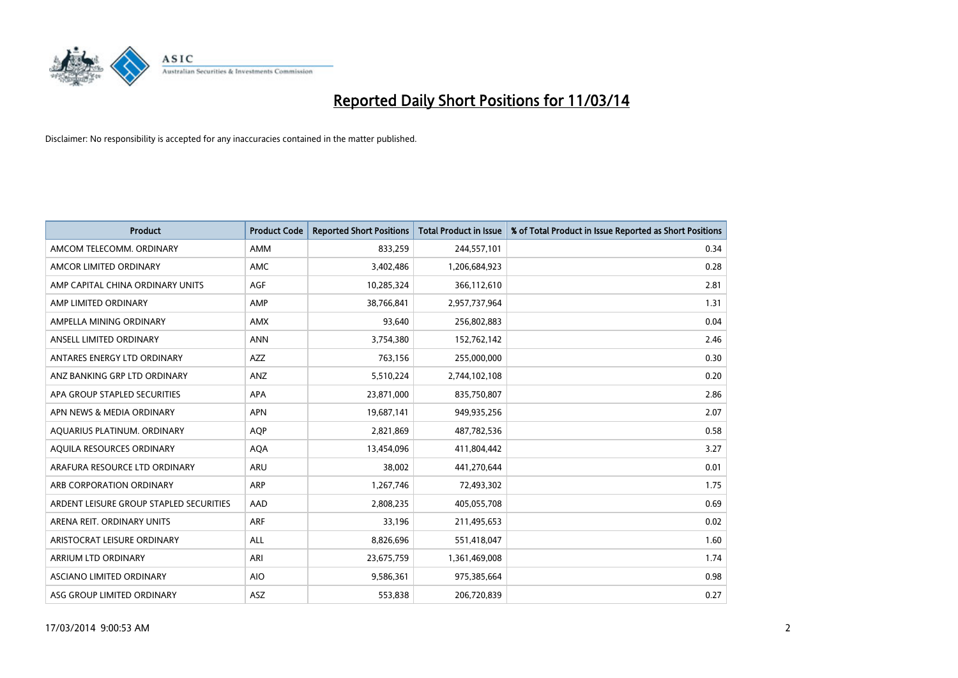

| <b>Product</b>                          | <b>Product Code</b> | <b>Reported Short Positions</b> | <b>Total Product in Issue</b> | % of Total Product in Issue Reported as Short Positions |
|-----------------------------------------|---------------------|---------------------------------|-------------------------------|---------------------------------------------------------|
| AMCOM TELECOMM, ORDINARY                | <b>AMM</b>          | 833,259                         | 244,557,101                   | 0.34                                                    |
| AMCOR LIMITED ORDINARY                  | <b>AMC</b>          | 3,402,486                       | 1,206,684,923                 | 0.28                                                    |
| AMP CAPITAL CHINA ORDINARY UNITS        | <b>AGF</b>          | 10,285,324                      | 366,112,610                   | 2.81                                                    |
| AMP LIMITED ORDINARY                    | AMP                 | 38,766,841                      | 2,957,737,964                 | 1.31                                                    |
| AMPELLA MINING ORDINARY                 | <b>AMX</b>          | 93,640                          | 256,802,883                   | 0.04                                                    |
| ANSELL LIMITED ORDINARY                 | <b>ANN</b>          | 3,754,380                       | 152,762,142                   | 2.46                                                    |
| ANTARES ENERGY LTD ORDINARY             | <b>AZZ</b>          | 763,156                         | 255,000,000                   | 0.30                                                    |
| ANZ BANKING GRP LTD ORDINARY            | ANZ                 | 5,510,224                       | 2,744,102,108                 | 0.20                                                    |
| APA GROUP STAPLED SECURITIES            | <b>APA</b>          | 23,871,000                      | 835,750,807                   | 2.86                                                    |
| APN NEWS & MEDIA ORDINARY               | <b>APN</b>          | 19,687,141                      | 949,935,256                   | 2.07                                                    |
| AQUARIUS PLATINUM. ORDINARY             | <b>AOP</b>          | 2,821,869                       | 487,782,536                   | 0.58                                                    |
| AQUILA RESOURCES ORDINARY               | <b>AQA</b>          | 13,454,096                      | 411,804,442                   | 3.27                                                    |
| ARAFURA RESOURCE LTD ORDINARY           | <b>ARU</b>          | 38,002                          | 441,270,644                   | 0.01                                                    |
| ARB CORPORATION ORDINARY                | <b>ARP</b>          | 1,267,746                       | 72,493,302                    | 1.75                                                    |
| ARDENT LEISURE GROUP STAPLED SECURITIES | AAD                 | 2,808,235                       | 405,055,708                   | 0.69                                                    |
| ARENA REIT. ORDINARY UNITS              | <b>ARF</b>          | 33,196                          | 211,495,653                   | 0.02                                                    |
| ARISTOCRAT LEISURE ORDINARY             | ALL                 | 8,826,696                       | 551,418,047                   | 1.60                                                    |
| ARRIUM LTD ORDINARY                     | ARI                 | 23,675,759                      | 1,361,469,008                 | 1.74                                                    |
| ASCIANO LIMITED ORDINARY                | <b>AIO</b>          | 9,586,361                       | 975,385,664                   | 0.98                                                    |
| ASG GROUP LIMITED ORDINARY              | ASZ                 | 553,838                         | 206,720,839                   | 0.27                                                    |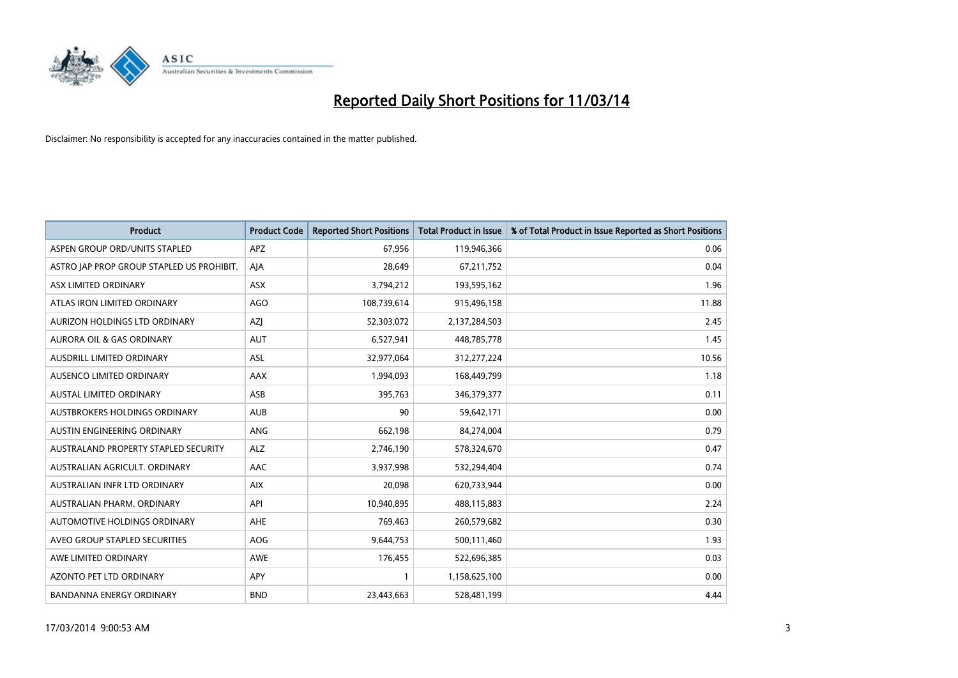

| <b>Product</b>                              | <b>Product Code</b> | <b>Reported Short Positions</b> | <b>Total Product in Issue</b> | % of Total Product in Issue Reported as Short Positions |
|---------------------------------------------|---------------------|---------------------------------|-------------------------------|---------------------------------------------------------|
| ASPEN GROUP ORD/UNITS STAPLED               | <b>APZ</b>          | 67,956                          | 119,946,366                   | 0.06                                                    |
| ASTRO JAP PROP GROUP STAPLED US PROHIBIT.   | AJA                 | 28,649                          | 67,211,752                    | 0.04                                                    |
| ASX LIMITED ORDINARY                        | <b>ASX</b>          | 3,794,212                       | 193,595,162                   | 1.96                                                    |
| ATLAS IRON LIMITED ORDINARY                 | AGO                 | 108,739,614                     | 915,496,158                   | 11.88                                                   |
| AURIZON HOLDINGS LTD ORDINARY               | <b>AZI</b>          | 52,303,072                      | 2,137,284,503                 | 2.45                                                    |
| <b>AURORA OIL &amp; GAS ORDINARY</b>        | <b>AUT</b>          | 6,527,941                       | 448,785,778                   | 1.45                                                    |
| AUSDRILL LIMITED ORDINARY                   | <b>ASL</b>          | 32,977,064                      | 312,277,224                   | 10.56                                                   |
| AUSENCO LIMITED ORDINARY                    | AAX                 | 1,994,093                       | 168,449,799                   | 1.18                                                    |
| <b>AUSTAL LIMITED ORDINARY</b>              | ASB                 | 395,763                         | 346,379,377                   | 0.11                                                    |
| AUSTBROKERS HOLDINGS ORDINARY               | <b>AUB</b>          | 90                              | 59,642,171                    | 0.00                                                    |
| AUSTIN ENGINEERING ORDINARY                 | ANG                 | 662,198                         | 84,274,004                    | 0.79                                                    |
| <b>AUSTRALAND PROPERTY STAPLED SECURITY</b> | <b>ALZ</b>          | 2,746,190                       | 578,324,670                   | 0.47                                                    |
| AUSTRALIAN AGRICULT. ORDINARY               | AAC                 | 3,937,998                       | 532,294,404                   | 0.74                                                    |
| AUSTRALIAN INFR LTD ORDINARY                | <b>AIX</b>          | 20,098                          | 620,733,944                   | 0.00                                                    |
| AUSTRALIAN PHARM, ORDINARY                  | API                 | 10,940,895                      | 488,115,883                   | 2.24                                                    |
| AUTOMOTIVE HOLDINGS ORDINARY                | AHE                 | 769,463                         | 260,579,682                   | 0.30                                                    |
| AVEO GROUP STAPLED SECURITIES               | <b>AOG</b>          | 9,644,753                       | 500,111,460                   | 1.93                                                    |
| AWE LIMITED ORDINARY                        | <b>AWE</b>          | 176,455                         | 522,696,385                   | 0.03                                                    |
| <b>AZONTO PET LTD ORDINARY</b>              | <b>APY</b>          |                                 | 1,158,625,100                 | 0.00                                                    |
| <b>BANDANNA ENERGY ORDINARY</b>             | <b>BND</b>          | 23,443,663                      | 528,481,199                   | 4.44                                                    |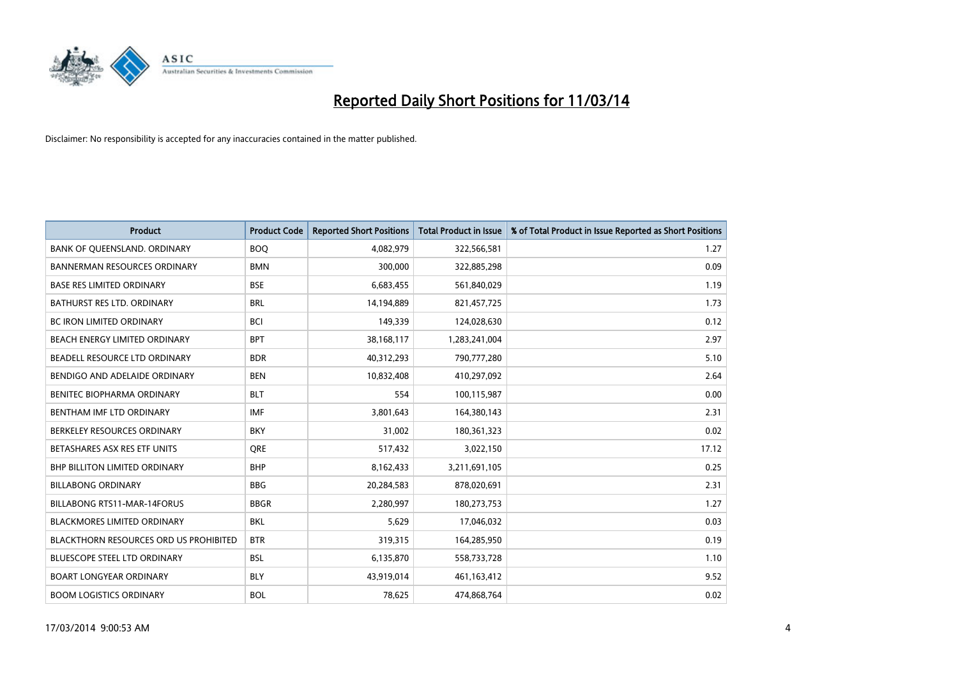

| <b>Product</b>                                | <b>Product Code</b> | <b>Reported Short Positions</b> | <b>Total Product in Issue</b> | % of Total Product in Issue Reported as Short Positions |
|-----------------------------------------------|---------------------|---------------------------------|-------------------------------|---------------------------------------------------------|
| BANK OF QUEENSLAND. ORDINARY                  | <b>BOQ</b>          | 4,082,979                       | 322,566,581                   | 1.27                                                    |
| <b>BANNERMAN RESOURCES ORDINARY</b>           | <b>BMN</b>          | 300,000                         | 322,885,298                   | 0.09                                                    |
| <b>BASE RES LIMITED ORDINARY</b>              | <b>BSE</b>          | 6,683,455                       | 561,840,029                   | 1.19                                                    |
| BATHURST RES LTD. ORDINARY                    | <b>BRL</b>          | 14,194,889                      | 821,457,725                   | 1.73                                                    |
| <b>BC IRON LIMITED ORDINARY</b>               | <b>BCI</b>          | 149,339                         | 124,028,630                   | 0.12                                                    |
| <b>BEACH ENERGY LIMITED ORDINARY</b>          | <b>BPT</b>          | 38,168,117                      | 1,283,241,004                 | 2.97                                                    |
| BEADELL RESOURCE LTD ORDINARY                 | <b>BDR</b>          | 40,312,293                      | 790,777,280                   | 5.10                                                    |
| BENDIGO AND ADELAIDE ORDINARY                 | <b>BEN</b>          | 10,832,408                      | 410,297,092                   | 2.64                                                    |
| BENITEC BIOPHARMA ORDINARY                    | <b>BLT</b>          | 554                             | 100,115,987                   | 0.00                                                    |
| BENTHAM IMF LTD ORDINARY                      | <b>IMF</b>          | 3,801,643                       | 164,380,143                   | 2.31                                                    |
| BERKELEY RESOURCES ORDINARY                   | <b>BKY</b>          | 31,002                          | 180,361,323                   | 0.02                                                    |
| BETASHARES ASX RES ETF UNITS                  | <b>ORE</b>          | 517,432                         | 3,022,150                     | 17.12                                                   |
| BHP BILLITON LIMITED ORDINARY                 | <b>BHP</b>          | 8,162,433                       | 3,211,691,105                 | 0.25                                                    |
| <b>BILLABONG ORDINARY</b>                     | <b>BBG</b>          | 20,284,583                      | 878,020,691                   | 2.31                                                    |
| <b>BILLABONG RTS11-MAR-14FORUS</b>            | <b>BBGR</b>         | 2,280,997                       | 180,273,753                   | 1.27                                                    |
| BLACKMORES LIMITED ORDINARY                   | <b>BKL</b>          | 5,629                           | 17,046,032                    | 0.03                                                    |
| <b>BLACKTHORN RESOURCES ORD US PROHIBITED</b> | <b>BTR</b>          | 319,315                         | 164,285,950                   | 0.19                                                    |
| BLUESCOPE STEEL LTD ORDINARY                  | <b>BSL</b>          | 6,135,870                       | 558,733,728                   | 1.10                                                    |
| <b>BOART LONGYEAR ORDINARY</b>                | <b>BLY</b>          | 43,919,014                      | 461,163,412                   | 9.52                                                    |
| <b>BOOM LOGISTICS ORDINARY</b>                | <b>BOL</b>          | 78.625                          | 474.868.764                   | 0.02                                                    |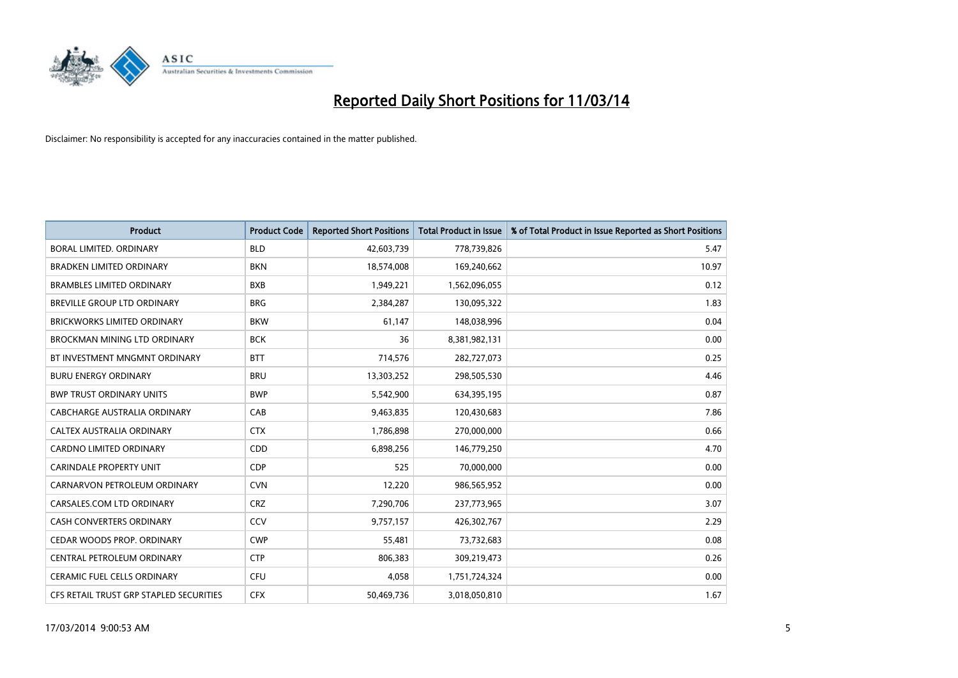

| <b>Product</b>                          | <b>Product Code</b> | <b>Reported Short Positions</b> | <b>Total Product in Issue</b> | % of Total Product in Issue Reported as Short Positions |
|-----------------------------------------|---------------------|---------------------------------|-------------------------------|---------------------------------------------------------|
| <b>BORAL LIMITED, ORDINARY</b>          | <b>BLD</b>          | 42,603,739                      | 778,739,826                   | 5.47                                                    |
| <b>BRADKEN LIMITED ORDINARY</b>         | <b>BKN</b>          | 18,574,008                      | 169,240,662                   | 10.97                                                   |
| <b>BRAMBLES LIMITED ORDINARY</b>        | <b>BXB</b>          | 1,949,221                       | 1,562,096,055                 | 0.12                                                    |
| BREVILLE GROUP LTD ORDINARY             | <b>BRG</b>          | 2,384,287                       | 130,095,322                   | 1.83                                                    |
| <b>BRICKWORKS LIMITED ORDINARY</b>      | <b>BKW</b>          | 61,147                          | 148,038,996                   | 0.04                                                    |
| <b>BROCKMAN MINING LTD ORDINARY</b>     | <b>BCK</b>          | 36                              | 8,381,982,131                 | 0.00                                                    |
| BT INVESTMENT MNGMNT ORDINARY           | <b>BTT</b>          | 714,576                         | 282,727,073                   | 0.25                                                    |
| <b>BURU ENERGY ORDINARY</b>             | <b>BRU</b>          | 13,303,252                      | 298,505,530                   | 4.46                                                    |
| <b>BWP TRUST ORDINARY UNITS</b>         | <b>BWP</b>          | 5,542,900                       | 634,395,195                   | 0.87                                                    |
| CABCHARGE AUSTRALIA ORDINARY            | CAB                 | 9,463,835                       | 120,430,683                   | 7.86                                                    |
| <b>CALTEX AUSTRALIA ORDINARY</b>        | <b>CTX</b>          | 1,786,898                       | 270,000,000                   | 0.66                                                    |
| <b>CARDNO LIMITED ORDINARY</b>          | CDD                 | 6,898,256                       | 146,779,250                   | 4.70                                                    |
| <b>CARINDALE PROPERTY UNIT</b>          | <b>CDP</b>          | 525                             | 70,000,000                    | 0.00                                                    |
| CARNARVON PETROLEUM ORDINARY            | <b>CVN</b>          | 12,220                          | 986,565,952                   | 0.00                                                    |
| CARSALES.COM LTD ORDINARY               | <b>CRZ</b>          | 7,290,706                       | 237,773,965                   | 3.07                                                    |
| CASH CONVERTERS ORDINARY                | CCV                 | 9,757,157                       | 426,302,767                   | 2.29                                                    |
| CEDAR WOODS PROP. ORDINARY              | <b>CWP</b>          | 55,481                          | 73,732,683                    | 0.08                                                    |
| CENTRAL PETROLEUM ORDINARY              | <b>CTP</b>          | 806,383                         | 309,219,473                   | 0.26                                                    |
| <b>CERAMIC FUEL CELLS ORDINARY</b>      | CFU                 | 4,058                           | 1,751,724,324                 | 0.00                                                    |
| CFS RETAIL TRUST GRP STAPLED SECURITIES | <b>CFX</b>          | 50,469,736                      | 3,018,050,810                 | 1.67                                                    |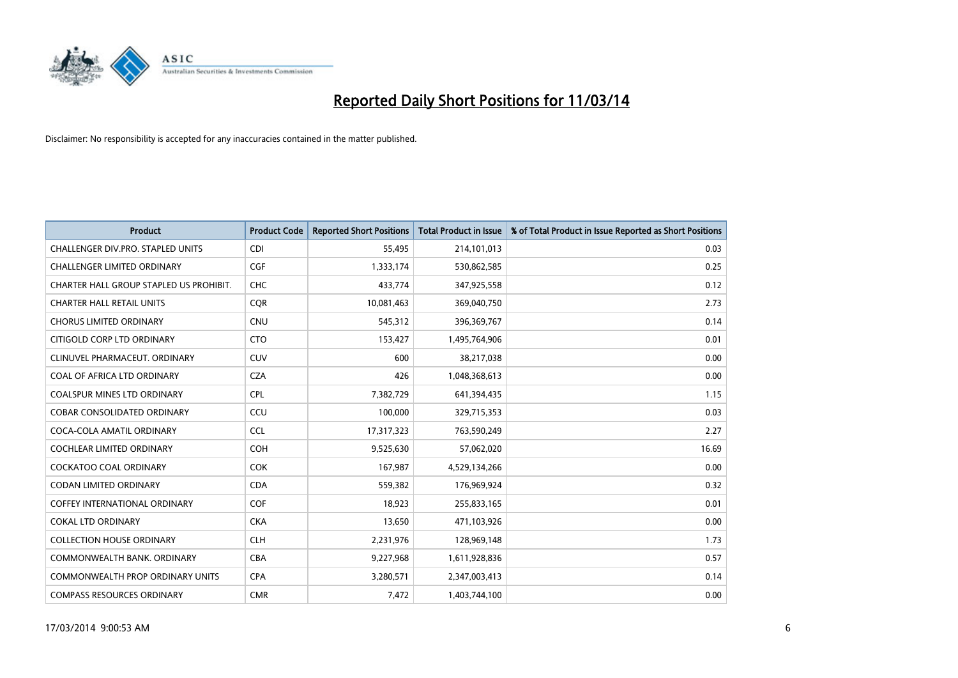

| <b>Product</b>                          | <b>Product Code</b> | <b>Reported Short Positions</b> | <b>Total Product in Issue</b> | % of Total Product in Issue Reported as Short Positions |
|-----------------------------------------|---------------------|---------------------------------|-------------------------------|---------------------------------------------------------|
| CHALLENGER DIV.PRO. STAPLED UNITS       | <b>CDI</b>          | 55,495                          | 214,101,013                   | 0.03                                                    |
| CHALLENGER LIMITED ORDINARY             | <b>CGF</b>          | 1,333,174                       | 530,862,585                   | 0.25                                                    |
| CHARTER HALL GROUP STAPLED US PROHIBIT. | <b>CHC</b>          | 433,774                         | 347,925,558                   | 0.12                                                    |
| <b>CHARTER HALL RETAIL UNITS</b>        | CQR                 | 10,081,463                      | 369,040,750                   | 2.73                                                    |
| <b>CHORUS LIMITED ORDINARY</b>          | <b>CNU</b>          | 545,312                         | 396,369,767                   | 0.14                                                    |
| CITIGOLD CORP LTD ORDINARY              | <b>CTO</b>          | 153,427                         | 1,495,764,906                 | 0.01                                                    |
| CLINUVEL PHARMACEUT. ORDINARY           | <b>CUV</b>          | 600                             | 38,217,038                    | 0.00                                                    |
| COAL OF AFRICA LTD ORDINARY             | <b>CZA</b>          | 426                             | 1,048,368,613                 | 0.00                                                    |
| COALSPUR MINES LTD ORDINARY             | <b>CPL</b>          | 7,382,729                       | 641,394,435                   | 1.15                                                    |
| <b>COBAR CONSOLIDATED ORDINARY</b>      | CCU                 | 100,000                         | 329,715,353                   | 0.03                                                    |
| COCA-COLA AMATIL ORDINARY               | <b>CCL</b>          | 17,317,323                      | 763,590,249                   | 2.27                                                    |
| COCHLEAR LIMITED ORDINARY               | <b>COH</b>          | 9,525,630                       | 57,062,020                    | 16.69                                                   |
| <b>COCKATOO COAL ORDINARY</b>           | COK                 | 167,987                         | 4,529,134,266                 | 0.00                                                    |
| <b>CODAN LIMITED ORDINARY</b>           | <b>CDA</b>          | 559,382                         | 176,969,924                   | 0.32                                                    |
| <b>COFFEY INTERNATIONAL ORDINARY</b>    | <b>COF</b>          | 18,923                          | 255,833,165                   | 0.01                                                    |
| <b>COKAL LTD ORDINARY</b>               | <b>CKA</b>          | 13,650                          | 471,103,926                   | 0.00                                                    |
| <b>COLLECTION HOUSE ORDINARY</b>        | <b>CLH</b>          | 2,231,976                       | 128,969,148                   | 1.73                                                    |
| COMMONWEALTH BANK, ORDINARY             | <b>CBA</b>          | 9,227,968                       | 1,611,928,836                 | 0.57                                                    |
| <b>COMMONWEALTH PROP ORDINARY UNITS</b> | <b>CPA</b>          | 3,280,571                       | 2,347,003,413                 | 0.14                                                    |
| <b>COMPASS RESOURCES ORDINARY</b>       | <b>CMR</b>          | 7,472                           | 1,403,744,100                 | 0.00                                                    |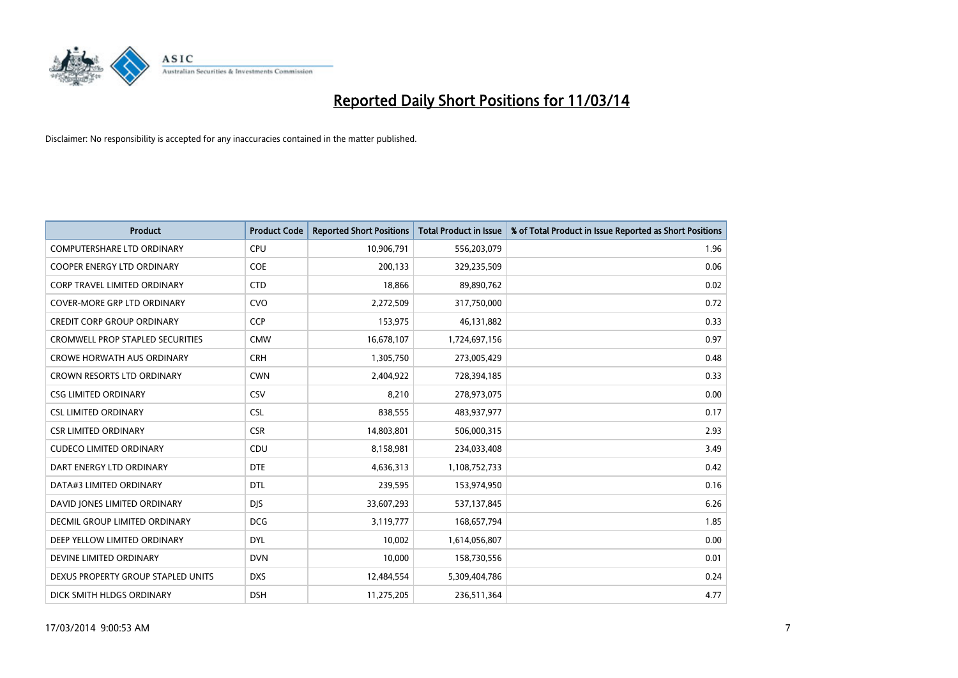

| <b>Product</b>                          | <b>Product Code</b> | <b>Reported Short Positions</b> | <b>Total Product in Issue</b> | % of Total Product in Issue Reported as Short Positions |
|-----------------------------------------|---------------------|---------------------------------|-------------------------------|---------------------------------------------------------|
| <b>COMPUTERSHARE LTD ORDINARY</b>       | CPU                 | 10,906,791                      | 556,203,079                   | 1.96                                                    |
| COOPER ENERGY LTD ORDINARY              | <b>COE</b>          | 200,133                         | 329,235,509                   | 0.06                                                    |
| <b>CORP TRAVEL LIMITED ORDINARY</b>     | <b>CTD</b>          | 18,866                          | 89,890,762                    | 0.02                                                    |
| COVER-MORE GRP LTD ORDINARY             | <b>CVO</b>          | 2,272,509                       | 317,750,000                   | 0.72                                                    |
| <b>CREDIT CORP GROUP ORDINARY</b>       | <b>CCP</b>          | 153,975                         | 46,131,882                    | 0.33                                                    |
| <b>CROMWELL PROP STAPLED SECURITIES</b> | <b>CMW</b>          | 16,678,107                      | 1,724,697,156                 | 0.97                                                    |
| <b>CROWE HORWATH AUS ORDINARY</b>       | <b>CRH</b>          | 1,305,750                       | 273,005,429                   | 0.48                                                    |
| CROWN RESORTS LTD ORDINARY              | <b>CWN</b>          | 2,404,922                       | 728,394,185                   | 0.33                                                    |
| <b>CSG LIMITED ORDINARY</b>             | CSV                 | 8,210                           | 278,973,075                   | 0.00                                                    |
| <b>CSL LIMITED ORDINARY</b>             | <b>CSL</b>          | 838,555                         | 483,937,977                   | 0.17                                                    |
| <b>CSR LIMITED ORDINARY</b>             | <b>CSR</b>          | 14,803,801                      | 506,000,315                   | 2.93                                                    |
| <b>CUDECO LIMITED ORDINARY</b>          | CDU                 | 8,158,981                       | 234,033,408                   | 3.49                                                    |
| DART ENERGY LTD ORDINARY                | <b>DTE</b>          | 4,636,313                       | 1,108,752,733                 | 0.42                                                    |
| DATA#3 LIMITED ORDINARY                 | <b>DTL</b>          | 239,595                         | 153,974,950                   | 0.16                                                    |
| DAVID JONES LIMITED ORDINARY            | <b>DIS</b>          | 33,607,293                      | 537,137,845                   | 6.26                                                    |
| DECMIL GROUP LIMITED ORDINARY           | <b>DCG</b>          | 3,119,777                       | 168,657,794                   | 1.85                                                    |
| DEEP YELLOW LIMITED ORDINARY            | <b>DYL</b>          | 10,002                          | 1,614,056,807                 | 0.00                                                    |
| DEVINE LIMITED ORDINARY                 | <b>DVN</b>          | 10,000                          | 158,730,556                   | 0.01                                                    |
| DEXUS PROPERTY GROUP STAPLED UNITS      | <b>DXS</b>          | 12,484,554                      | 5,309,404,786                 | 0.24                                                    |
| DICK SMITH HLDGS ORDINARY               | <b>DSH</b>          | 11,275,205                      | 236,511,364                   | 4.77                                                    |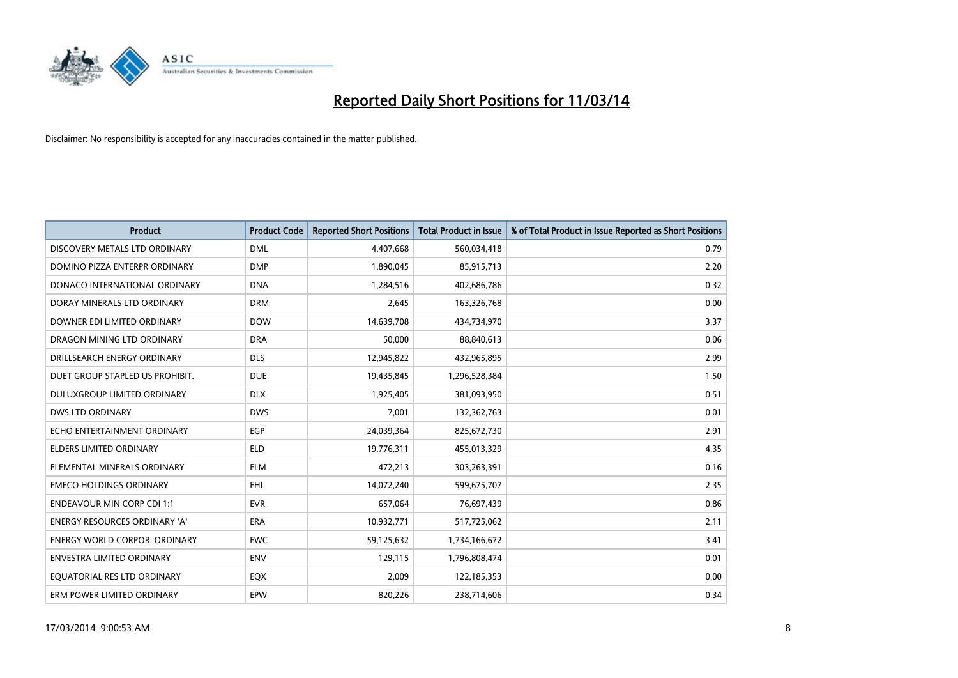

| <b>Product</b>                    | <b>Product Code</b> | <b>Reported Short Positions</b> | <b>Total Product in Issue</b> | % of Total Product in Issue Reported as Short Positions |
|-----------------------------------|---------------------|---------------------------------|-------------------------------|---------------------------------------------------------|
| DISCOVERY METALS LTD ORDINARY     | <b>DML</b>          | 4,407,668                       | 560,034,418                   | 0.79                                                    |
| DOMINO PIZZA ENTERPR ORDINARY     | <b>DMP</b>          | 1,890,045                       | 85,915,713                    | 2.20                                                    |
| DONACO INTERNATIONAL ORDINARY     | <b>DNA</b>          | 1,284,516                       | 402,686,786                   | 0.32                                                    |
| DORAY MINERALS LTD ORDINARY       | <b>DRM</b>          | 2,645                           | 163,326,768                   | 0.00                                                    |
| DOWNER EDI LIMITED ORDINARY       | <b>DOW</b>          | 14,639,708                      | 434,734,970                   | 3.37                                                    |
| DRAGON MINING LTD ORDINARY        | <b>DRA</b>          | 50,000                          | 88,840,613                    | 0.06                                                    |
| DRILLSEARCH ENERGY ORDINARY       | <b>DLS</b>          | 12,945,822                      | 432,965,895                   | 2.99                                                    |
| DUET GROUP STAPLED US PROHIBIT.   | <b>DUE</b>          | 19,435,845                      | 1,296,528,384                 | 1.50                                                    |
| DULUXGROUP LIMITED ORDINARY       | <b>DLX</b>          | 1,925,405                       | 381,093,950                   | 0.51                                                    |
| <b>DWS LTD ORDINARY</b>           | <b>DWS</b>          | 7,001                           | 132,362,763                   | 0.01                                                    |
| ECHO ENTERTAINMENT ORDINARY       | EGP                 | 24,039,364                      | 825,672,730                   | 2.91                                                    |
| <b>ELDERS LIMITED ORDINARY</b>    | <b>ELD</b>          | 19,776,311                      | 455,013,329                   | 4.35                                                    |
| ELEMENTAL MINERALS ORDINARY       | <b>ELM</b>          | 472,213                         | 303,263,391                   | 0.16                                                    |
| <b>EMECO HOLDINGS ORDINARY</b>    | <b>EHL</b>          | 14,072,240                      | 599,675,707                   | 2.35                                                    |
| <b>ENDEAVOUR MIN CORP CDI 1:1</b> | <b>EVR</b>          | 657,064                         | 76,697,439                    | 0.86                                                    |
| ENERGY RESOURCES ORDINARY 'A'     | <b>ERA</b>          | 10,932,771                      | 517,725,062                   | 2.11                                                    |
| ENERGY WORLD CORPOR. ORDINARY     | <b>EWC</b>          | 59,125,632                      | 1,734,166,672                 | 3.41                                                    |
| <b>ENVESTRA LIMITED ORDINARY</b>  | <b>ENV</b>          | 129,115                         | 1,796,808,474                 | 0.01                                                    |
| EQUATORIAL RES LTD ORDINARY       | EQX                 | 2,009                           | 122,185,353                   | 0.00                                                    |
| ERM POWER LIMITED ORDINARY        | EPW                 | 820,226                         | 238,714,606                   | 0.34                                                    |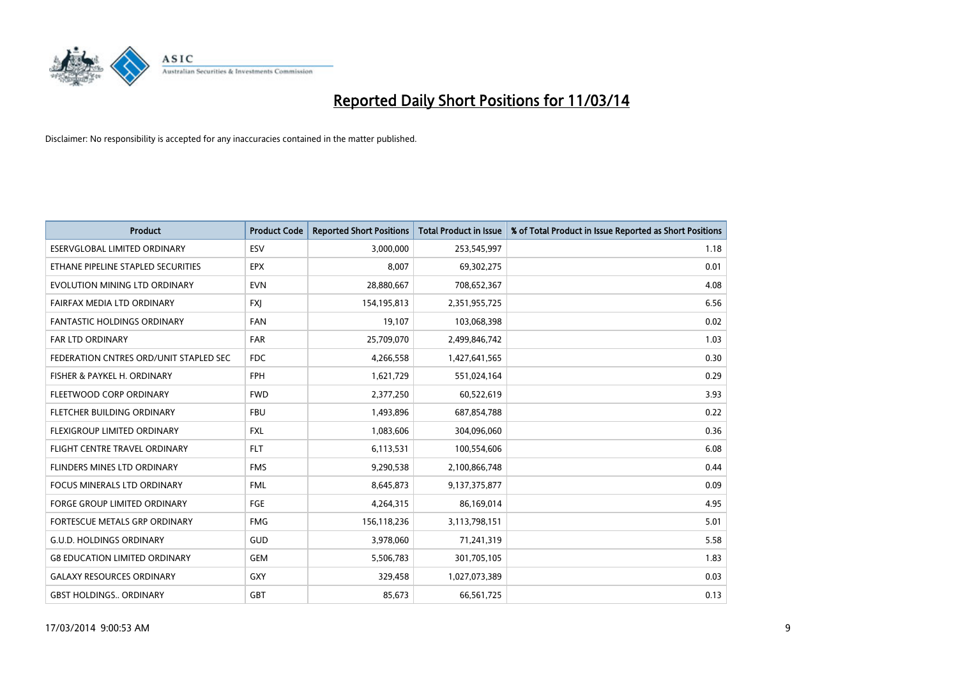

| <b>Product</b>                         | <b>Product Code</b> | <b>Reported Short Positions</b> | <b>Total Product in Issue</b> | % of Total Product in Issue Reported as Short Positions |
|----------------------------------------|---------------------|---------------------------------|-------------------------------|---------------------------------------------------------|
| ESERVGLOBAL LIMITED ORDINARY           | ESV                 | 3,000,000                       | 253,545,997                   | 1.18                                                    |
| ETHANE PIPELINE STAPLED SECURITIES     | <b>EPX</b>          | 8,007                           | 69,302,275                    | 0.01                                                    |
| EVOLUTION MINING LTD ORDINARY          | <b>EVN</b>          | 28,880,667                      | 708,652,367                   | 4.08                                                    |
| FAIRFAX MEDIA LTD ORDINARY             | <b>FXJ</b>          | 154,195,813                     | 2,351,955,725                 | 6.56                                                    |
| <b>FANTASTIC HOLDINGS ORDINARY</b>     | <b>FAN</b>          | 19,107                          | 103,068,398                   | 0.02                                                    |
| <b>FAR LTD ORDINARY</b>                | <b>FAR</b>          | 25,709,070                      | 2,499,846,742                 | 1.03                                                    |
| FEDERATION CNTRES ORD/UNIT STAPLED SEC | <b>FDC</b>          | 4,266,558                       | 1,427,641,565                 | 0.30                                                    |
| FISHER & PAYKEL H. ORDINARY            | <b>FPH</b>          | 1,621,729                       | 551,024,164                   | 0.29                                                    |
| FLEETWOOD CORP ORDINARY                | <b>FWD</b>          | 2,377,250                       | 60,522,619                    | 3.93                                                    |
| FLETCHER BUILDING ORDINARY             | <b>FBU</b>          | 1,493,896                       | 687,854,788                   | 0.22                                                    |
| FLEXIGROUP LIMITED ORDINARY            | <b>FXL</b>          | 1,083,606                       | 304,096,060                   | 0.36                                                    |
| FLIGHT CENTRE TRAVEL ORDINARY          | <b>FLT</b>          | 6,113,531                       | 100,554,606                   | 6.08                                                    |
| FLINDERS MINES LTD ORDINARY            | <b>FMS</b>          | 9,290,538                       | 2,100,866,748                 | 0.44                                                    |
| <b>FOCUS MINERALS LTD ORDINARY</b>     | <b>FML</b>          | 8,645,873                       | 9,137,375,877                 | 0.09                                                    |
| <b>FORGE GROUP LIMITED ORDINARY</b>    | FGE                 | 4,264,315                       | 86,169,014                    | 4.95                                                    |
| FORTESCUE METALS GRP ORDINARY          | <b>FMG</b>          | 156,118,236                     | 3,113,798,151                 | 5.01                                                    |
| <b>G.U.D. HOLDINGS ORDINARY</b>        | GUD                 | 3,978,060                       | 71,241,319                    | 5.58                                                    |
| <b>G8 EDUCATION LIMITED ORDINARY</b>   | <b>GEM</b>          | 5,506,783                       | 301,705,105                   | 1.83                                                    |
| <b>GALAXY RESOURCES ORDINARY</b>       | <b>GXY</b>          | 329,458                         | 1,027,073,389                 | 0.03                                                    |
| <b>GBST HOLDINGS ORDINARY</b>          | <b>GBT</b>          | 85,673                          | 66,561,725                    | 0.13                                                    |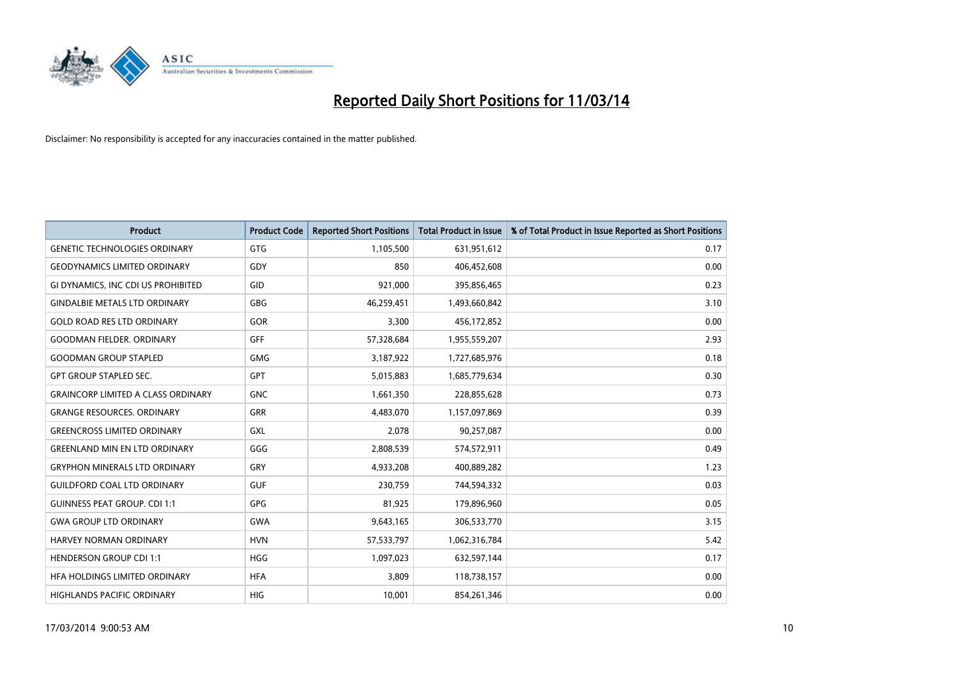

| <b>Product</b>                            | <b>Product Code</b> | <b>Reported Short Positions</b> | <b>Total Product in Issue</b> | % of Total Product in Issue Reported as Short Positions |
|-------------------------------------------|---------------------|---------------------------------|-------------------------------|---------------------------------------------------------|
| <b>GENETIC TECHNOLOGIES ORDINARY</b>      | <b>GTG</b>          | 1,105,500                       | 631,951,612                   | 0.17                                                    |
| <b>GEODYNAMICS LIMITED ORDINARY</b>       | GDY                 | 850                             | 406,452,608                   | 0.00                                                    |
| GI DYNAMICS, INC CDI US PROHIBITED        | GID                 | 921,000                         | 395,856,465                   | 0.23                                                    |
| <b>GINDALBIE METALS LTD ORDINARY</b>      | <b>GBG</b>          | 46,259,451                      | 1,493,660,842                 | 3.10                                                    |
| <b>GOLD ROAD RES LTD ORDINARY</b>         | GOR                 | 3,300                           | 456,172,852                   | 0.00                                                    |
| <b>GOODMAN FIELDER, ORDINARY</b>          | <b>GFF</b>          | 57,328,684                      | 1,955,559,207                 | 2.93                                                    |
| <b>GOODMAN GROUP STAPLED</b>              | <b>GMG</b>          | 3,187,922                       | 1,727,685,976                 | 0.18                                                    |
| <b>GPT GROUP STAPLED SEC.</b>             | <b>GPT</b>          | 5,015,883                       | 1,685,779,634                 | 0.30                                                    |
| <b>GRAINCORP LIMITED A CLASS ORDINARY</b> | <b>GNC</b>          | 1,661,350                       | 228,855,628                   | 0.73                                                    |
| <b>GRANGE RESOURCES, ORDINARY</b>         | <b>GRR</b>          | 4,483,070                       | 1,157,097,869                 | 0.39                                                    |
| <b>GREENCROSS LIMITED ORDINARY</b>        | GXL                 | 2,078                           | 90,257,087                    | 0.00                                                    |
| <b>GREENLAND MIN EN LTD ORDINARY</b>      | GGG                 | 2,808,539                       | 574,572,911                   | 0.49                                                    |
| <b>GRYPHON MINERALS LTD ORDINARY</b>      | GRY                 | 4,933,208                       | 400,889,282                   | 1.23                                                    |
| <b>GUILDFORD COAL LTD ORDINARY</b>        | <b>GUF</b>          | 230.759                         | 744,594,332                   | 0.03                                                    |
| <b>GUINNESS PEAT GROUP. CDI 1:1</b>       | <b>GPG</b>          | 81,925                          | 179,896,960                   | 0.05                                                    |
| <b>GWA GROUP LTD ORDINARY</b>             | <b>GWA</b>          | 9,643,165                       | 306,533,770                   | 3.15                                                    |
| <b>HARVEY NORMAN ORDINARY</b>             | <b>HVN</b>          | 57,533,797                      | 1,062,316,784                 | 5.42                                                    |
| <b>HENDERSON GROUP CDI 1:1</b>            | <b>HGG</b>          | 1,097,023                       | 632,597,144                   | 0.17                                                    |
| HFA HOLDINGS LIMITED ORDINARY             | <b>HFA</b>          | 3,809                           | 118,738,157                   | 0.00                                                    |
| HIGHLANDS PACIFIC ORDINARY                | <b>HIG</b>          | 10.001                          | 854,261,346                   | 0.00                                                    |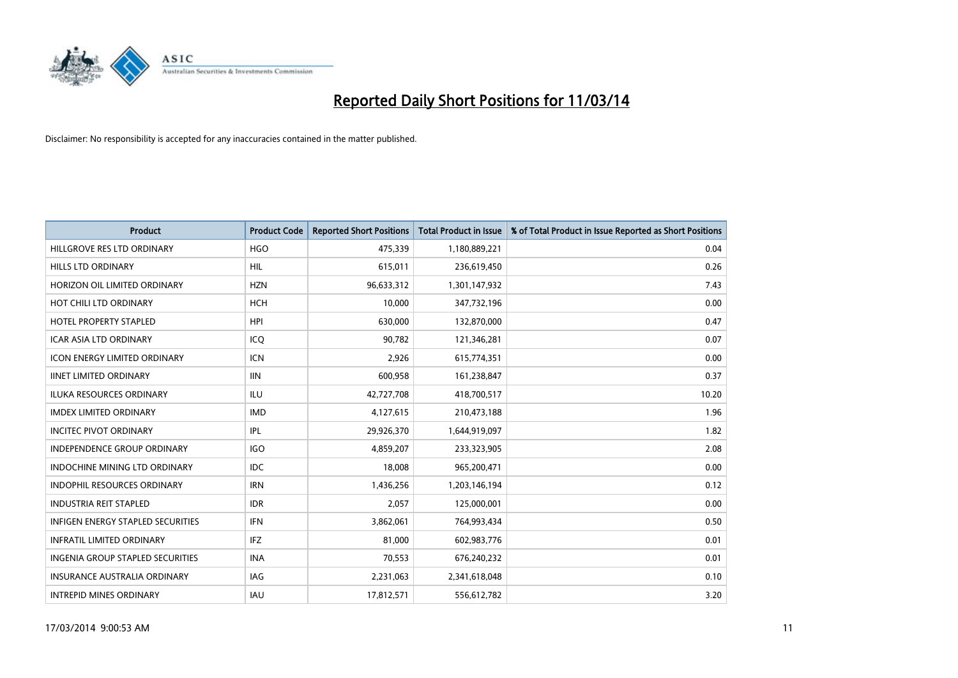

| <b>Product</b>                           | <b>Product Code</b> | <b>Reported Short Positions</b> | <b>Total Product in Issue</b> | % of Total Product in Issue Reported as Short Positions |
|------------------------------------------|---------------------|---------------------------------|-------------------------------|---------------------------------------------------------|
| HILLGROVE RES LTD ORDINARY               | <b>HGO</b>          | 475,339                         | 1,180,889,221                 | 0.04                                                    |
| <b>HILLS LTD ORDINARY</b>                | <b>HIL</b>          | 615,011                         | 236,619,450                   | 0.26                                                    |
| HORIZON OIL LIMITED ORDINARY             | <b>HZN</b>          | 96,633,312                      | 1,301,147,932                 | 7.43                                                    |
| HOT CHILI LTD ORDINARY                   | <b>HCH</b>          | 10,000                          | 347,732,196                   | 0.00                                                    |
| HOTEL PROPERTY STAPLED                   | <b>HPI</b>          | 630.000                         | 132,870,000                   | 0.47                                                    |
| <b>ICAR ASIA LTD ORDINARY</b>            | ICQ                 | 90,782                          | 121,346,281                   | 0.07                                                    |
| <b>ICON ENERGY LIMITED ORDINARY</b>      | <b>ICN</b>          | 2.926                           | 615,774,351                   | 0.00                                                    |
| <b>IINET LIMITED ORDINARY</b>            | <b>IIN</b>          | 600,958                         | 161,238,847                   | 0.37                                                    |
| ILUKA RESOURCES ORDINARY                 | ILU                 | 42,727,708                      | 418,700,517                   | 10.20                                                   |
| <b>IMDEX LIMITED ORDINARY</b>            | <b>IMD</b>          | 4,127,615                       | 210,473,188                   | 1.96                                                    |
| <b>INCITEC PIVOT ORDINARY</b>            | <b>IPL</b>          | 29,926,370                      | 1,644,919,097                 | 1.82                                                    |
| <b>INDEPENDENCE GROUP ORDINARY</b>       | <b>IGO</b>          | 4,859,207                       | 233,323,905                   | 2.08                                                    |
| INDOCHINE MINING LTD ORDINARY            | <b>IDC</b>          | 18,008                          | 965,200,471                   | 0.00                                                    |
| <b>INDOPHIL RESOURCES ORDINARY</b>       | <b>IRN</b>          | 1,436,256                       | 1,203,146,194                 | 0.12                                                    |
| <b>INDUSTRIA REIT STAPLED</b>            | <b>IDR</b>          | 2,057                           | 125,000,001                   | 0.00                                                    |
| <b>INFIGEN ENERGY STAPLED SECURITIES</b> | <b>IFN</b>          | 3,862,061                       | 764,993,434                   | 0.50                                                    |
| <b>INFRATIL LIMITED ORDINARY</b>         | <b>IFZ</b>          | 81,000                          | 602,983,776                   | 0.01                                                    |
| INGENIA GROUP STAPLED SECURITIES         | <b>INA</b>          | 70,553                          | 676,240,232                   | 0.01                                                    |
| <b>INSURANCE AUSTRALIA ORDINARY</b>      | IAG                 | 2,231,063                       | 2,341,618,048                 | 0.10                                                    |
| <b>INTREPID MINES ORDINARY</b>           | <b>IAU</b>          | 17,812,571                      | 556,612,782                   | 3.20                                                    |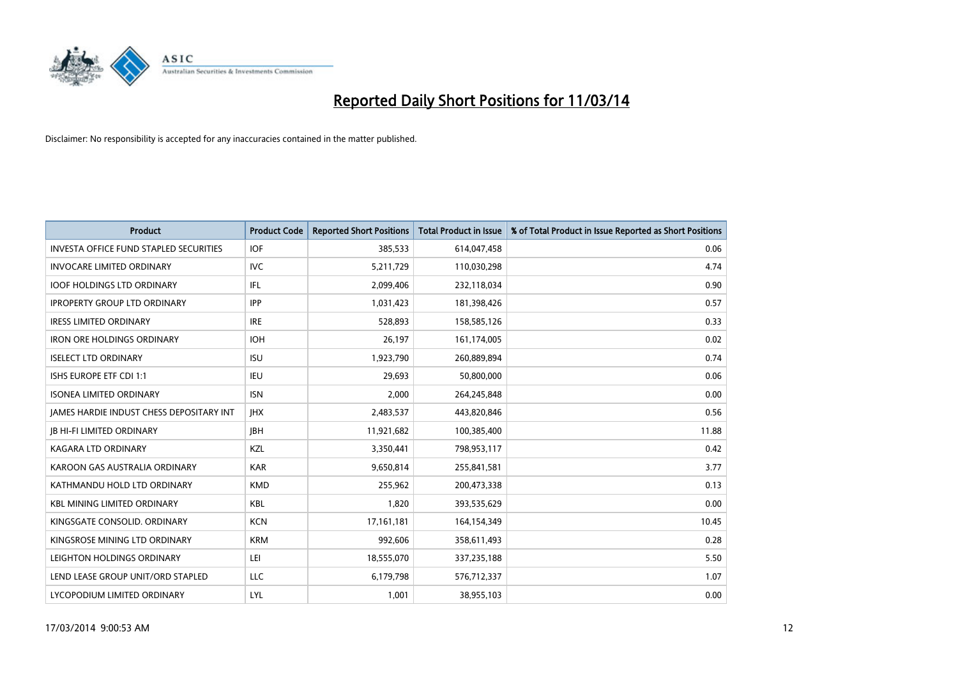

| <b>Product</b>                                  | <b>Product Code</b> | <b>Reported Short Positions</b> | <b>Total Product in Issue</b> | % of Total Product in Issue Reported as Short Positions |
|-------------------------------------------------|---------------------|---------------------------------|-------------------------------|---------------------------------------------------------|
| <b>INVESTA OFFICE FUND STAPLED SECURITIES</b>   | <b>IOF</b>          | 385,533                         | 614,047,458                   | 0.06                                                    |
| <b>INVOCARE LIMITED ORDINARY</b>                | IVC                 | 5,211,729                       | 110,030,298                   | 4.74                                                    |
| <b>IOOF HOLDINGS LTD ORDINARY</b>               | <b>IFL</b>          | 2,099,406                       | 232,118,034                   | 0.90                                                    |
| <b>IPROPERTY GROUP LTD ORDINARY</b>             | <b>IPP</b>          | 1,031,423                       | 181,398,426                   | 0.57                                                    |
| <b>IRESS LIMITED ORDINARY</b>                   | <b>IRE</b>          | 528,893                         | 158,585,126                   | 0.33                                                    |
| <b>IRON ORE HOLDINGS ORDINARY</b>               | <b>IOH</b>          | 26,197                          | 161,174,005                   | 0.02                                                    |
| <b>ISELECT LTD ORDINARY</b>                     | <b>ISU</b>          | 1,923,790                       | 260,889,894                   | 0.74                                                    |
| ISHS EUROPE ETF CDI 1:1                         | <b>IEU</b>          | 29,693                          | 50,800,000                    | 0.06                                                    |
| <b>ISONEA LIMITED ORDINARY</b>                  | <b>ISN</b>          | 2,000                           | 264,245,848                   | 0.00                                                    |
| <b>JAMES HARDIE INDUST CHESS DEPOSITARY INT</b> | <b>IHX</b>          | 2,483,537                       | 443,820,846                   | 0.56                                                    |
| <b>IB HI-FI LIMITED ORDINARY</b>                | <b>IBH</b>          | 11,921,682                      | 100,385,400                   | 11.88                                                   |
| <b>KAGARA LTD ORDINARY</b>                      | KZL                 | 3,350,441                       | 798,953,117                   | 0.42                                                    |
| KAROON GAS AUSTRALIA ORDINARY                   | <b>KAR</b>          | 9,650,814                       | 255,841,581                   | 3.77                                                    |
| KATHMANDU HOLD LTD ORDINARY                     | <b>KMD</b>          | 255,962                         | 200,473,338                   | 0.13                                                    |
| <b>KBL MINING LIMITED ORDINARY</b>              | <b>KBL</b>          | 1,820                           | 393,535,629                   | 0.00                                                    |
| KINGSGATE CONSOLID. ORDINARY                    | <b>KCN</b>          | 17, 161, 181                    | 164,154,349                   | 10.45                                                   |
| KINGSROSE MINING LTD ORDINARY                   | <b>KRM</b>          | 992,606                         | 358,611,493                   | 0.28                                                    |
| LEIGHTON HOLDINGS ORDINARY                      | LEI                 | 18,555,070                      | 337,235,188                   | 5.50                                                    |
| LEND LEASE GROUP UNIT/ORD STAPLED               | <b>LLC</b>          | 6,179,798                       | 576,712,337                   | 1.07                                                    |
| LYCOPODIUM LIMITED ORDINARY                     | LYL                 | 1,001                           | 38,955,103                    | 0.00                                                    |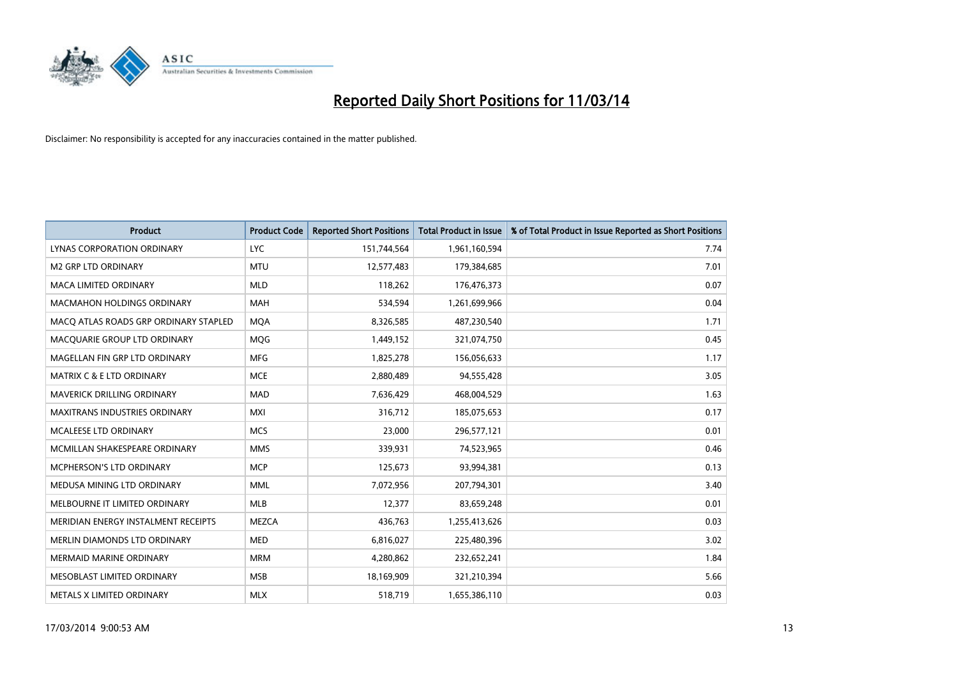

| <b>Product</b>                        | <b>Product Code</b> | <b>Reported Short Positions</b> | <b>Total Product in Issue</b> | % of Total Product in Issue Reported as Short Positions |
|---------------------------------------|---------------------|---------------------------------|-------------------------------|---------------------------------------------------------|
| <b>LYNAS CORPORATION ORDINARY</b>     | <b>LYC</b>          | 151,744,564                     | 1,961,160,594                 | 7.74                                                    |
| M2 GRP LTD ORDINARY                   | <b>MTU</b>          | 12,577,483                      | 179,384,685                   | 7.01                                                    |
| <b>MACA LIMITED ORDINARY</b>          | <b>MLD</b>          | 118,262                         | 176,476,373                   | 0.07                                                    |
| <b>MACMAHON HOLDINGS ORDINARY</b>     | <b>MAH</b>          | 534,594                         | 1,261,699,966                 | 0.04                                                    |
| MACQ ATLAS ROADS GRP ORDINARY STAPLED | <b>MQA</b>          | 8,326,585                       | 487,230,540                   | 1.71                                                    |
| MACQUARIE GROUP LTD ORDINARY          | <b>MOG</b>          | 1,449,152                       | 321,074,750                   | 0.45                                                    |
| MAGELLAN FIN GRP LTD ORDINARY         | <b>MFG</b>          | 1,825,278                       | 156,056,633                   | 1.17                                                    |
| MATRIX C & E LTD ORDINARY             | <b>MCE</b>          | 2,880,489                       | 94,555,428                    | 3.05                                                    |
| MAVERICK DRILLING ORDINARY            | <b>MAD</b>          | 7,636,429                       | 468,004,529                   | 1.63                                                    |
| <b>MAXITRANS INDUSTRIES ORDINARY</b>  | <b>MXI</b>          | 316,712                         | 185,075,653                   | 0.17                                                    |
| MCALEESE LTD ORDINARY                 | <b>MCS</b>          | 23,000                          | 296,577,121                   | 0.01                                                    |
| MCMILLAN SHAKESPEARE ORDINARY         | <b>MMS</b>          | 339,931                         | 74,523,965                    | 0.46                                                    |
| MCPHERSON'S LTD ORDINARY              | <b>MCP</b>          | 125,673                         | 93,994,381                    | 0.13                                                    |
| MEDUSA MINING LTD ORDINARY            | <b>MML</b>          | 7,072,956                       | 207,794,301                   | 3.40                                                    |
| MELBOURNE IT LIMITED ORDINARY         | MLB                 | 12,377                          | 83,659,248                    | 0.01                                                    |
| MERIDIAN ENERGY INSTALMENT RECEIPTS   | <b>MEZCA</b>        | 436,763                         | 1,255,413,626                 | 0.03                                                    |
| MERLIN DIAMONDS LTD ORDINARY          | <b>MED</b>          | 6,816,027                       | 225,480,396                   | 3.02                                                    |
| MERMAID MARINE ORDINARY               | <b>MRM</b>          | 4,280,862                       | 232,652,241                   | 1.84                                                    |
| MESOBLAST LIMITED ORDINARY            | <b>MSB</b>          | 18,169,909                      | 321,210,394                   | 5.66                                                    |
| METALS X LIMITED ORDINARY             | <b>MLX</b>          | 518,719                         | 1,655,386,110                 | 0.03                                                    |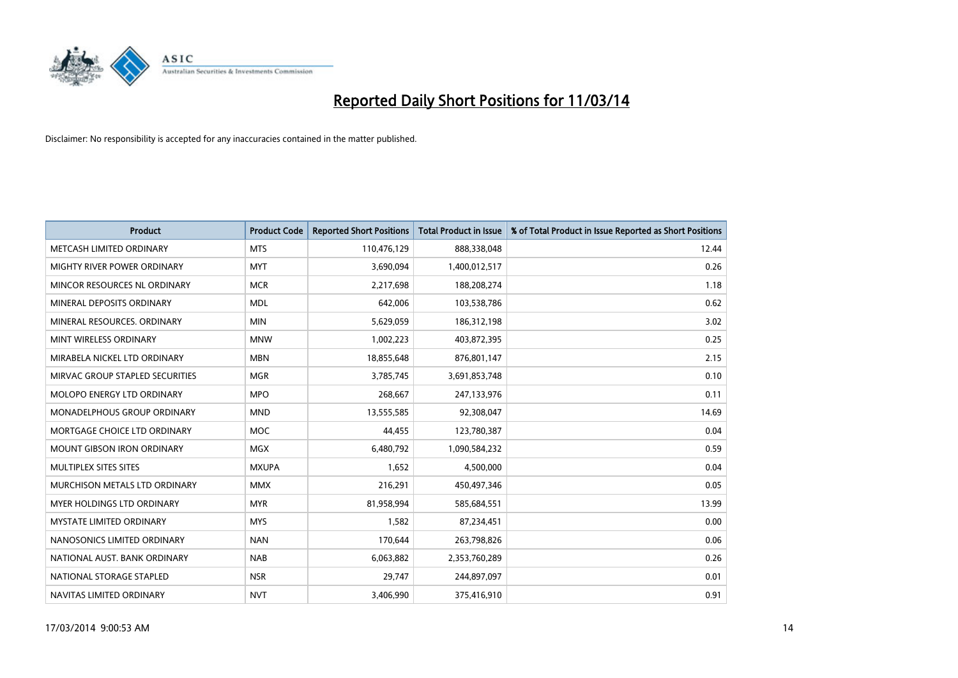

| <b>Product</b>                       | <b>Product Code</b> | <b>Reported Short Positions</b> | <b>Total Product in Issue</b> | % of Total Product in Issue Reported as Short Positions |
|--------------------------------------|---------------------|---------------------------------|-------------------------------|---------------------------------------------------------|
| METCASH LIMITED ORDINARY             | <b>MTS</b>          | 110,476,129                     | 888,338,048                   | 12.44                                                   |
| MIGHTY RIVER POWER ORDINARY          | <b>MYT</b>          | 3,690,094                       | 1,400,012,517                 | 0.26                                                    |
| MINCOR RESOURCES NL ORDINARY         | <b>MCR</b>          | 2,217,698                       | 188,208,274                   | 1.18                                                    |
| MINERAL DEPOSITS ORDINARY            | <b>MDL</b>          | 642,006                         | 103,538,786                   | 0.62                                                    |
| MINERAL RESOURCES, ORDINARY          | <b>MIN</b>          | 5,629,059                       | 186,312,198                   | 3.02                                                    |
| MINT WIRELESS ORDINARY               | <b>MNW</b>          | 1,002,223                       | 403,872,395                   | 0.25                                                    |
| MIRABELA NICKEL LTD ORDINARY         | <b>MBN</b>          | 18,855,648                      | 876,801,147                   | 2.15                                                    |
| MIRVAC GROUP STAPLED SECURITIES      | <b>MGR</b>          | 3,785,745                       | 3,691,853,748                 | 0.10                                                    |
| <b>MOLOPO ENERGY LTD ORDINARY</b>    | <b>MPO</b>          | 268,667                         | 247,133,976                   | 0.11                                                    |
| <b>MONADELPHOUS GROUP ORDINARY</b>   | <b>MND</b>          | 13,555,585                      | 92,308,047                    | 14.69                                                   |
| MORTGAGE CHOICE LTD ORDINARY         | <b>MOC</b>          | 44,455                          | 123,780,387                   | 0.04                                                    |
| <b>MOUNT GIBSON IRON ORDINARY</b>    | <b>MGX</b>          | 6,480,792                       | 1,090,584,232                 | 0.59                                                    |
| MULTIPLEX SITES SITES                | <b>MXUPA</b>        | 1,652                           | 4,500,000                     | 0.04                                                    |
| <b>MURCHISON METALS LTD ORDINARY</b> | <b>MMX</b>          | 216,291                         | 450,497,346                   | 0.05                                                    |
| <b>MYER HOLDINGS LTD ORDINARY</b>    | <b>MYR</b>          | 81,958,994                      | 585,684,551                   | 13.99                                                   |
| <b>MYSTATE LIMITED ORDINARY</b>      | <b>MYS</b>          | 1,582                           | 87,234,451                    | 0.00                                                    |
| NANOSONICS LIMITED ORDINARY          | <b>NAN</b>          | 170,644                         | 263,798,826                   | 0.06                                                    |
| NATIONAL AUST. BANK ORDINARY         | <b>NAB</b>          | 6,063,882                       | 2,353,760,289                 | 0.26                                                    |
| NATIONAL STORAGE STAPLED             | <b>NSR</b>          | 29,747                          | 244,897,097                   | 0.01                                                    |
| NAVITAS LIMITED ORDINARY             | <b>NVT</b>          | 3,406,990                       | 375,416,910                   | 0.91                                                    |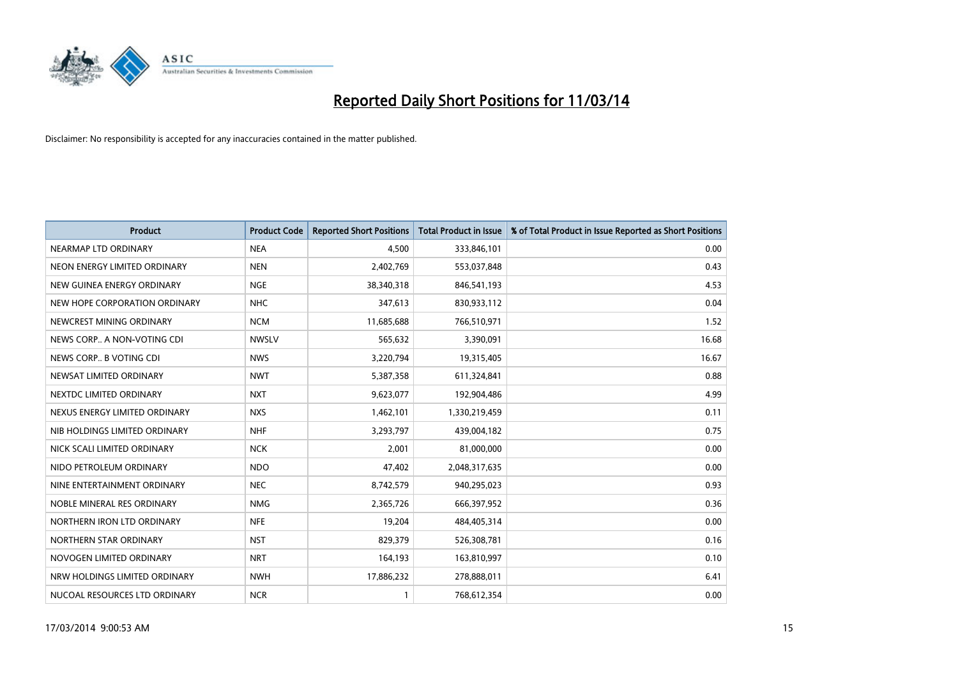

| <b>Product</b>                | <b>Product Code</b> | <b>Reported Short Positions</b> | <b>Total Product in Issue</b> | % of Total Product in Issue Reported as Short Positions |
|-------------------------------|---------------------|---------------------------------|-------------------------------|---------------------------------------------------------|
| NEARMAP LTD ORDINARY          | <b>NEA</b>          | 4,500                           | 333,846,101                   | 0.00                                                    |
| NEON ENERGY LIMITED ORDINARY  | <b>NEN</b>          | 2,402,769                       | 553,037,848                   | 0.43                                                    |
| NEW GUINEA ENERGY ORDINARY    | <b>NGE</b>          | 38,340,318                      | 846,541,193                   | 4.53                                                    |
| NEW HOPE CORPORATION ORDINARY | <b>NHC</b>          | 347,613                         | 830,933,112                   | 0.04                                                    |
| NEWCREST MINING ORDINARY      | <b>NCM</b>          | 11,685,688                      | 766,510,971                   | 1.52                                                    |
| NEWS CORP A NON-VOTING CDI    | <b>NWSLV</b>        | 565,632                         | 3,390,091                     | 16.68                                                   |
| NEWS CORP B VOTING CDI        | <b>NWS</b>          | 3,220,794                       | 19,315,405                    | 16.67                                                   |
| NEWSAT LIMITED ORDINARY       | <b>NWT</b>          | 5,387,358                       | 611,324,841                   | 0.88                                                    |
| NEXTDC LIMITED ORDINARY       | <b>NXT</b>          | 9,623,077                       | 192,904,486                   | 4.99                                                    |
| NEXUS ENERGY LIMITED ORDINARY | <b>NXS</b>          | 1,462,101                       | 1,330,219,459                 | 0.11                                                    |
| NIB HOLDINGS LIMITED ORDINARY | <b>NHF</b>          | 3,293,797                       | 439,004,182                   | 0.75                                                    |
| NICK SCALI LIMITED ORDINARY   | <b>NCK</b>          | 2,001                           | 81,000,000                    | 0.00                                                    |
| NIDO PETROLEUM ORDINARY       | <b>NDO</b>          | 47,402                          | 2,048,317,635                 | 0.00                                                    |
| NINE ENTERTAINMENT ORDINARY   | <b>NEC</b>          | 8,742,579                       | 940,295,023                   | 0.93                                                    |
| NOBLE MINERAL RES ORDINARY    | <b>NMG</b>          | 2,365,726                       | 666,397,952                   | 0.36                                                    |
| NORTHERN IRON LTD ORDINARY    | <b>NFE</b>          | 19,204                          | 484,405,314                   | 0.00                                                    |
| NORTHERN STAR ORDINARY        | <b>NST</b>          | 829,379                         | 526,308,781                   | 0.16                                                    |
| NOVOGEN LIMITED ORDINARY      | <b>NRT</b>          | 164,193                         | 163,810,997                   | 0.10                                                    |
| NRW HOLDINGS LIMITED ORDINARY | <b>NWH</b>          | 17,886,232                      | 278,888,011                   | 6.41                                                    |
| NUCOAL RESOURCES LTD ORDINARY | <b>NCR</b>          |                                 | 768,612,354                   | 0.00                                                    |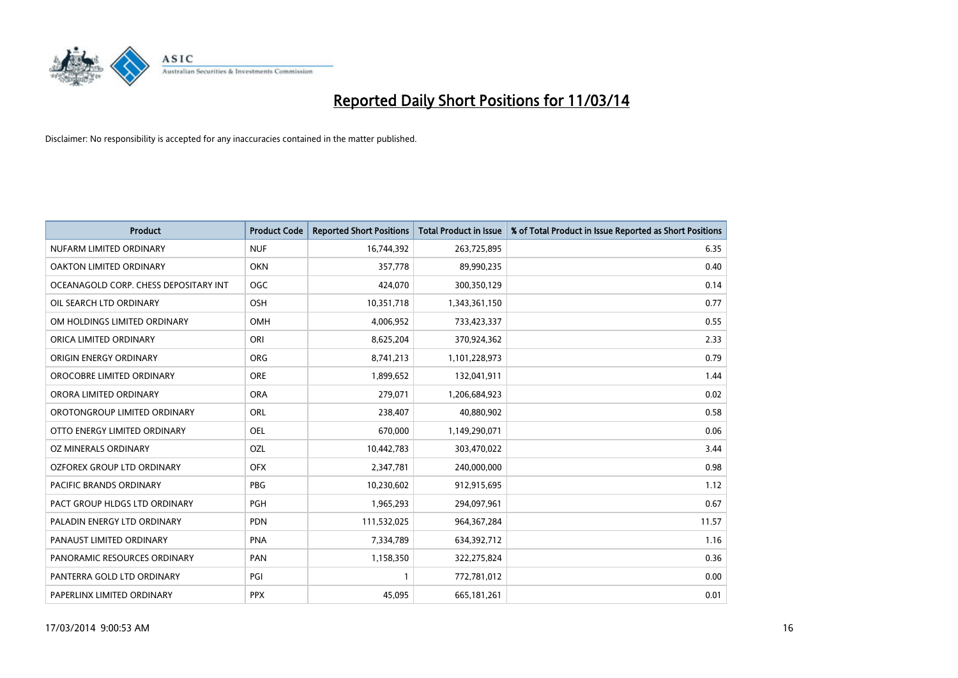

| <b>Product</b>                        | <b>Product Code</b> | <b>Reported Short Positions</b> | <b>Total Product in Issue</b> | % of Total Product in Issue Reported as Short Positions |
|---------------------------------------|---------------------|---------------------------------|-------------------------------|---------------------------------------------------------|
| NUFARM LIMITED ORDINARY               | <b>NUF</b>          | 16,744,392                      | 263,725,895                   | 6.35                                                    |
| OAKTON LIMITED ORDINARY               | <b>OKN</b>          | 357,778                         | 89,990,235                    | 0.40                                                    |
| OCEANAGOLD CORP. CHESS DEPOSITARY INT | <b>OGC</b>          | 424,070                         | 300,350,129                   | 0.14                                                    |
| OIL SEARCH LTD ORDINARY               | <b>OSH</b>          | 10,351,718                      | 1,343,361,150                 | 0.77                                                    |
| OM HOLDINGS LIMITED ORDINARY          | OMH                 | 4,006,952                       | 733,423,337                   | 0.55                                                    |
| ORICA LIMITED ORDINARY                | ORI                 | 8,625,204                       | 370,924,362                   | 2.33                                                    |
| ORIGIN ENERGY ORDINARY                | <b>ORG</b>          | 8,741,213                       | 1,101,228,973                 | 0.79                                                    |
| OROCOBRE LIMITED ORDINARY             | <b>ORE</b>          | 1,899,652                       | 132,041,911                   | 1.44                                                    |
| ORORA LIMITED ORDINARY                | <b>ORA</b>          | 279,071                         | 1,206,684,923                 | 0.02                                                    |
| OROTONGROUP LIMITED ORDINARY          | <b>ORL</b>          | 238,407                         | 40,880,902                    | 0.58                                                    |
| OTTO ENERGY LIMITED ORDINARY          | OEL                 | 670,000                         | 1,149,290,071                 | 0.06                                                    |
| OZ MINERALS ORDINARY                  | OZL                 | 10,442,783                      | 303,470,022                   | 3.44                                                    |
| OZFOREX GROUP LTD ORDINARY            | <b>OFX</b>          | 2,347,781                       | 240,000,000                   | 0.98                                                    |
| <b>PACIFIC BRANDS ORDINARY</b>        | <b>PBG</b>          | 10,230,602                      | 912,915,695                   | 1.12                                                    |
| PACT GROUP HLDGS LTD ORDINARY         | PGH                 | 1,965,293                       | 294,097,961                   | 0.67                                                    |
| PALADIN ENERGY LTD ORDINARY           | <b>PDN</b>          | 111,532,025                     | 964, 367, 284                 | 11.57                                                   |
| PANAUST LIMITED ORDINARY              | <b>PNA</b>          | 7,334,789                       | 634,392,712                   | 1.16                                                    |
| PANORAMIC RESOURCES ORDINARY          | PAN                 | 1,158,350                       | 322,275,824                   | 0.36                                                    |
| PANTERRA GOLD LTD ORDINARY            | PGI                 |                                 | 772,781,012                   | 0.00                                                    |
| PAPERLINX LIMITED ORDINARY            | <b>PPX</b>          | 45,095                          | 665, 181, 261                 | 0.01                                                    |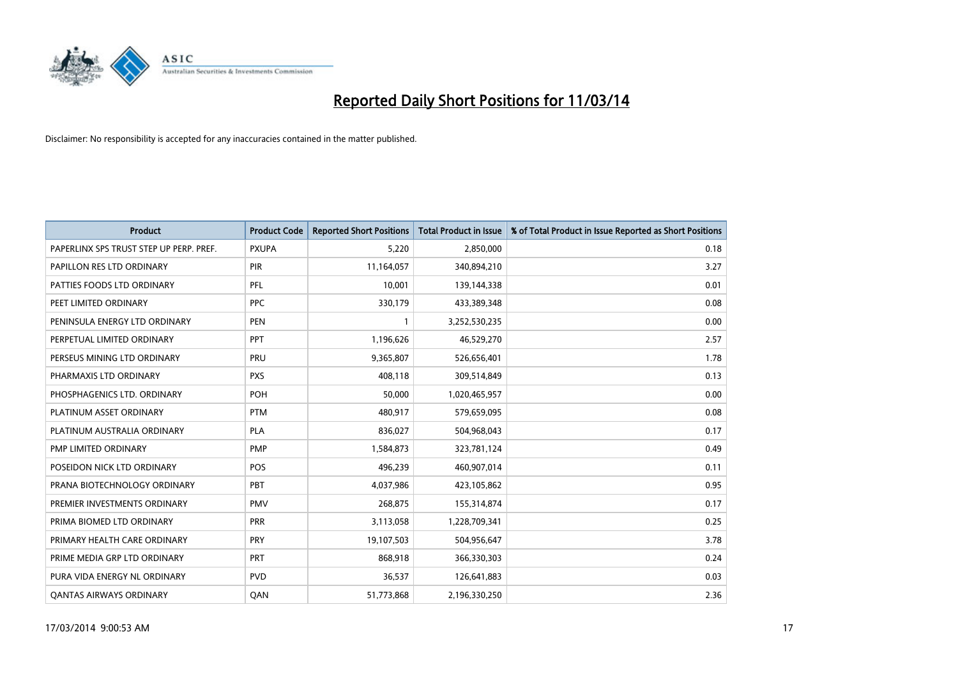

| <b>Product</b>                          | <b>Product Code</b> | <b>Reported Short Positions</b> | <b>Total Product in Issue</b> | % of Total Product in Issue Reported as Short Positions |
|-----------------------------------------|---------------------|---------------------------------|-------------------------------|---------------------------------------------------------|
| PAPERLINX SPS TRUST STEP UP PERP. PREF. | <b>PXUPA</b>        | 5,220                           | 2,850,000                     | 0.18                                                    |
| PAPILLON RES LTD ORDINARY               | PIR                 | 11,164,057                      | 340,894,210                   | 3.27                                                    |
| PATTIES FOODS LTD ORDINARY              | PFL                 | 10,001                          | 139,144,338                   | 0.01                                                    |
| PEET LIMITED ORDINARY                   | <b>PPC</b>          | 330,179                         | 433,389,348                   | 0.08                                                    |
| PENINSULA ENERGY LTD ORDINARY           | <b>PEN</b>          |                                 | 3,252,530,235                 | 0.00                                                    |
| PERPETUAL LIMITED ORDINARY              | PPT                 | 1,196,626                       | 46,529,270                    | 2.57                                                    |
| PERSEUS MINING LTD ORDINARY             | <b>PRU</b>          | 9,365,807                       | 526,656,401                   | 1.78                                                    |
| PHARMAXIS LTD ORDINARY                  | <b>PXS</b>          | 408,118                         | 309,514,849                   | 0.13                                                    |
| PHOSPHAGENICS LTD. ORDINARY             | POH                 | 50,000                          | 1,020,465,957                 | 0.00                                                    |
| PLATINUM ASSET ORDINARY                 | <b>PTM</b>          | 480,917                         | 579,659,095                   | 0.08                                                    |
| PLATINUM AUSTRALIA ORDINARY             | <b>PLA</b>          | 836,027                         | 504,968,043                   | 0.17                                                    |
| PMP LIMITED ORDINARY                    | <b>PMP</b>          | 1,584,873                       | 323,781,124                   | 0.49                                                    |
| POSEIDON NICK LTD ORDINARY              | POS                 | 496,239                         | 460,907,014                   | 0.11                                                    |
| PRANA BIOTECHNOLOGY ORDINARY            | PBT                 | 4,037,986                       | 423,105,862                   | 0.95                                                    |
| PREMIER INVESTMENTS ORDINARY            | <b>PMV</b>          | 268,875                         | 155,314,874                   | 0.17                                                    |
| PRIMA BIOMED LTD ORDINARY               | <b>PRR</b>          | 3,113,058                       | 1,228,709,341                 | 0.25                                                    |
| PRIMARY HEALTH CARE ORDINARY            | PRY                 | 19,107,503                      | 504,956,647                   | 3.78                                                    |
| PRIME MEDIA GRP LTD ORDINARY            | PRT                 | 868,918                         | 366,330,303                   | 0.24                                                    |
| PURA VIDA ENERGY NL ORDINARY            | <b>PVD</b>          | 36,537                          | 126,641,883                   | 0.03                                                    |
| <b>QANTAS AIRWAYS ORDINARY</b>          | QAN                 | 51,773,868                      | 2,196,330,250                 | 2.36                                                    |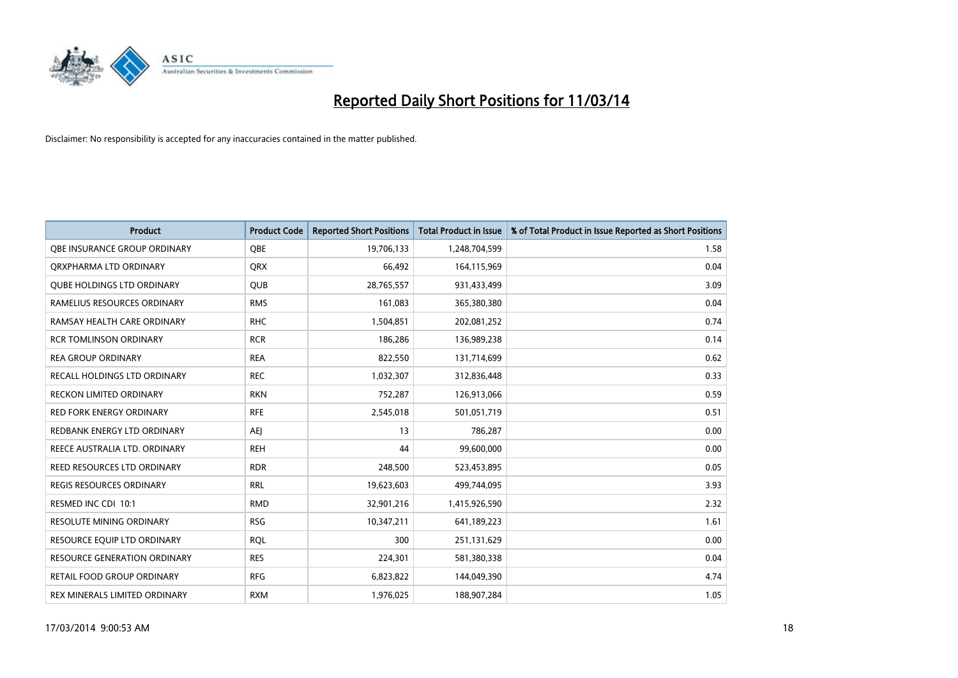

| <b>Product</b>                    | <b>Product Code</b> | <b>Reported Short Positions</b> | <b>Total Product in Issue</b> | % of Total Product in Issue Reported as Short Positions |
|-----------------------------------|---------------------|---------------------------------|-------------------------------|---------------------------------------------------------|
| OBE INSURANCE GROUP ORDINARY      | <b>OBE</b>          | 19,706,133                      | 1,248,704,599                 | 1.58                                                    |
| ORXPHARMA LTD ORDINARY            | <b>QRX</b>          | 66,492                          | 164,115,969                   | 0.04                                                    |
| <b>QUBE HOLDINGS LTD ORDINARY</b> | QUB                 | 28,765,557                      | 931,433,499                   | 3.09                                                    |
| RAMELIUS RESOURCES ORDINARY       | <b>RMS</b>          | 161,083                         | 365,380,380                   | 0.04                                                    |
| RAMSAY HEALTH CARE ORDINARY       | <b>RHC</b>          | 1,504,851                       | 202,081,252                   | 0.74                                                    |
| <b>RCR TOMLINSON ORDINARY</b>     | <b>RCR</b>          | 186,286                         | 136,989,238                   | 0.14                                                    |
| <b>REA GROUP ORDINARY</b>         | <b>REA</b>          | 822,550                         | 131,714,699                   | 0.62                                                    |
| RECALL HOLDINGS LTD ORDINARY      | <b>REC</b>          | 1,032,307                       | 312,836,448                   | 0.33                                                    |
| <b>RECKON LIMITED ORDINARY</b>    | <b>RKN</b>          | 752,287                         | 126,913,066                   | 0.59                                                    |
| <b>RED FORK ENERGY ORDINARY</b>   | <b>RFE</b>          | 2,545,018                       | 501,051,719                   | 0.51                                                    |
| REDBANK ENERGY LTD ORDINARY       | AEJ                 | 13                              | 786,287                       | 0.00                                                    |
| REECE AUSTRALIA LTD. ORDINARY     | <b>REH</b>          | 44                              | 99,600,000                    | 0.00                                                    |
| REED RESOURCES LTD ORDINARY       | <b>RDR</b>          | 248,500                         | 523,453,895                   | 0.05                                                    |
| <b>REGIS RESOURCES ORDINARY</b>   | <b>RRL</b>          | 19,623,603                      | 499,744,095                   | 3.93                                                    |
| RESMED INC CDI 10:1               | <b>RMD</b>          | 32,901,216                      | 1,415,926,590                 | 2.32                                                    |
| <b>RESOLUTE MINING ORDINARY</b>   | <b>RSG</b>          | 10,347,211                      | 641,189,223                   | 1.61                                                    |
| RESOURCE EQUIP LTD ORDINARY       | <b>RQL</b>          | 300                             | 251,131,629                   | 0.00                                                    |
| RESOURCE GENERATION ORDINARY      | <b>RES</b>          | 224,301                         | 581,380,338                   | 0.04                                                    |
| <b>RETAIL FOOD GROUP ORDINARY</b> | <b>RFG</b>          | 6,823,822                       | 144,049,390                   | 4.74                                                    |
| REX MINERALS LIMITED ORDINARY     | <b>RXM</b>          | 1,976,025                       | 188,907,284                   | 1.05                                                    |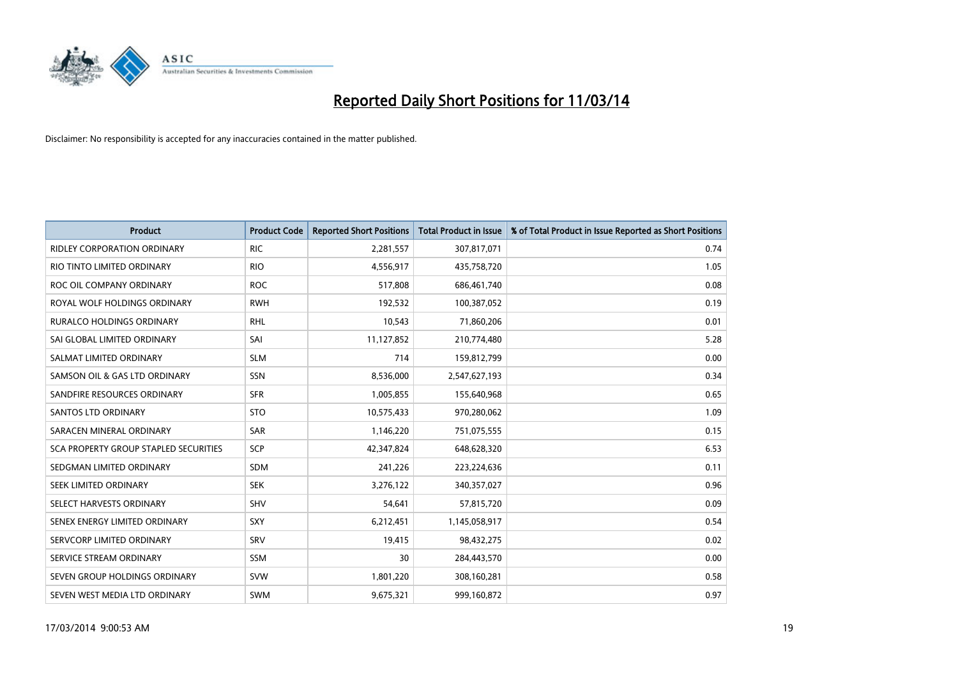

| <b>Product</b>                               | <b>Product Code</b> | <b>Reported Short Positions</b> | <b>Total Product in Issue</b> | % of Total Product in Issue Reported as Short Positions |
|----------------------------------------------|---------------------|---------------------------------|-------------------------------|---------------------------------------------------------|
| <b>RIDLEY CORPORATION ORDINARY</b>           | <b>RIC</b>          | 2,281,557                       | 307,817,071                   | 0.74                                                    |
| RIO TINTO LIMITED ORDINARY                   | <b>RIO</b>          | 4,556,917                       | 435,758,720                   | 1.05                                                    |
| ROC OIL COMPANY ORDINARY                     | <b>ROC</b>          | 517,808                         | 686,461,740                   | 0.08                                                    |
| ROYAL WOLF HOLDINGS ORDINARY                 | <b>RWH</b>          | 192,532                         | 100,387,052                   | 0.19                                                    |
| <b>RURALCO HOLDINGS ORDINARY</b>             | <b>RHL</b>          | 10,543                          | 71,860,206                    | 0.01                                                    |
| SAI GLOBAL LIMITED ORDINARY                  | SAI                 | 11,127,852                      | 210,774,480                   | 5.28                                                    |
| SALMAT LIMITED ORDINARY                      | <b>SLM</b>          | 714                             | 159,812,799                   | 0.00                                                    |
| SAMSON OIL & GAS LTD ORDINARY                | SSN                 | 8,536,000                       | 2,547,627,193                 | 0.34                                                    |
| SANDFIRE RESOURCES ORDINARY                  | <b>SFR</b>          | 1,005,855                       | 155,640,968                   | 0.65                                                    |
| <b>SANTOS LTD ORDINARY</b>                   | <b>STO</b>          | 10,575,433                      | 970,280,062                   | 1.09                                                    |
| SARACEN MINERAL ORDINARY                     | SAR                 | 1,146,220                       | 751,075,555                   | 0.15                                                    |
| <b>SCA PROPERTY GROUP STAPLED SECURITIES</b> | <b>SCP</b>          | 42,347,824                      | 648,628,320                   | 6.53                                                    |
| SEDGMAN LIMITED ORDINARY                     | <b>SDM</b>          | 241,226                         | 223,224,636                   | 0.11                                                    |
| <b>SEEK LIMITED ORDINARY</b>                 | <b>SEK</b>          | 3,276,122                       | 340,357,027                   | 0.96                                                    |
| SELECT HARVESTS ORDINARY                     | SHV                 | 54,641                          | 57,815,720                    | 0.09                                                    |
| SENEX ENERGY LIMITED ORDINARY                | SXY                 | 6,212,451                       | 1,145,058,917                 | 0.54                                                    |
| SERVCORP LIMITED ORDINARY                    | SRV                 | 19,415                          | 98,432,275                    | 0.02                                                    |
| SERVICE STREAM ORDINARY                      | <b>SSM</b>          | 30                              | 284,443,570                   | 0.00                                                    |
| SEVEN GROUP HOLDINGS ORDINARY                | <b>SVW</b>          | 1,801,220                       | 308,160,281                   | 0.58                                                    |
| SEVEN WEST MEDIA LTD ORDINARY                | <b>SWM</b>          | 9,675,321                       | 999,160,872                   | 0.97                                                    |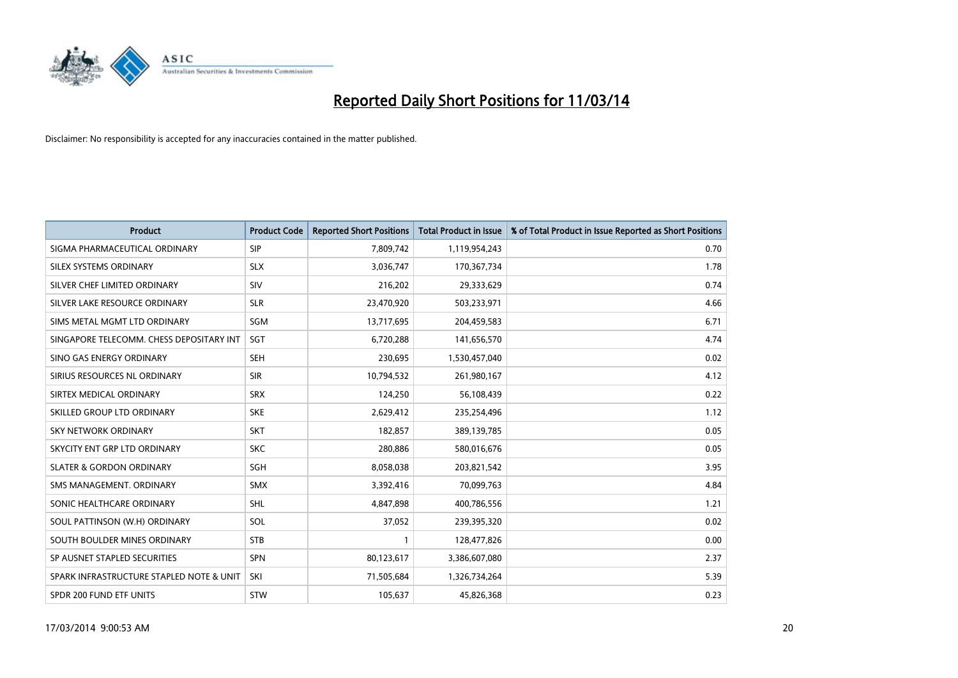

| <b>Product</b>                           | <b>Product Code</b> | <b>Reported Short Positions</b> | <b>Total Product in Issue</b> | % of Total Product in Issue Reported as Short Positions |
|------------------------------------------|---------------------|---------------------------------|-------------------------------|---------------------------------------------------------|
| SIGMA PHARMACEUTICAL ORDINARY            | <b>SIP</b>          | 7,809,742                       | 1,119,954,243                 | 0.70                                                    |
| SILEX SYSTEMS ORDINARY                   | <b>SLX</b>          | 3,036,747                       | 170,367,734                   | 1.78                                                    |
| SILVER CHEF LIMITED ORDINARY             | SIV                 | 216,202                         | 29,333,629                    | 0.74                                                    |
| SILVER LAKE RESOURCE ORDINARY            | <b>SLR</b>          | 23,470,920                      | 503,233,971                   | 4.66                                                    |
| SIMS METAL MGMT LTD ORDINARY             | SGM                 | 13,717,695                      | 204,459,583                   | 6.71                                                    |
| SINGAPORE TELECOMM. CHESS DEPOSITARY INT | <b>SGT</b>          | 6,720,288                       | 141,656,570                   | 4.74                                                    |
| SINO GAS ENERGY ORDINARY                 | <b>SEH</b>          | 230,695                         | 1,530,457,040                 | 0.02                                                    |
| SIRIUS RESOURCES NL ORDINARY             | <b>SIR</b>          | 10,794,532                      | 261,980,167                   | 4.12                                                    |
| SIRTEX MEDICAL ORDINARY                  | <b>SRX</b>          | 124,250                         | 56,108,439                    | 0.22                                                    |
| SKILLED GROUP LTD ORDINARY               | <b>SKE</b>          | 2,629,412                       | 235,254,496                   | 1.12                                                    |
| SKY NETWORK ORDINARY                     | <b>SKT</b>          | 182,857                         | 389,139,785                   | 0.05                                                    |
| SKYCITY ENT GRP LTD ORDINARY             | <b>SKC</b>          | 280,886                         | 580,016,676                   | 0.05                                                    |
| <b>SLATER &amp; GORDON ORDINARY</b>      | SGH                 | 8,058,038                       | 203,821,542                   | 3.95                                                    |
| SMS MANAGEMENT, ORDINARY                 | <b>SMX</b>          | 3,392,416                       | 70,099,763                    | 4.84                                                    |
| SONIC HEALTHCARE ORDINARY                | <b>SHL</b>          | 4,847,898                       | 400,786,556                   | 1.21                                                    |
| SOUL PATTINSON (W.H) ORDINARY            | SOL                 | 37,052                          | 239,395,320                   | 0.02                                                    |
| SOUTH BOULDER MINES ORDINARY             | <b>STB</b>          |                                 | 128,477,826                   | 0.00                                                    |
| SP AUSNET STAPLED SECURITIES             | <b>SPN</b>          | 80,123,617                      | 3,386,607,080                 | 2.37                                                    |
| SPARK INFRASTRUCTURE STAPLED NOTE & UNIT | SKI                 | 71,505,684                      | 1,326,734,264                 | 5.39                                                    |
| SPDR 200 FUND ETF UNITS                  | <b>STW</b>          | 105,637                         | 45,826,368                    | 0.23                                                    |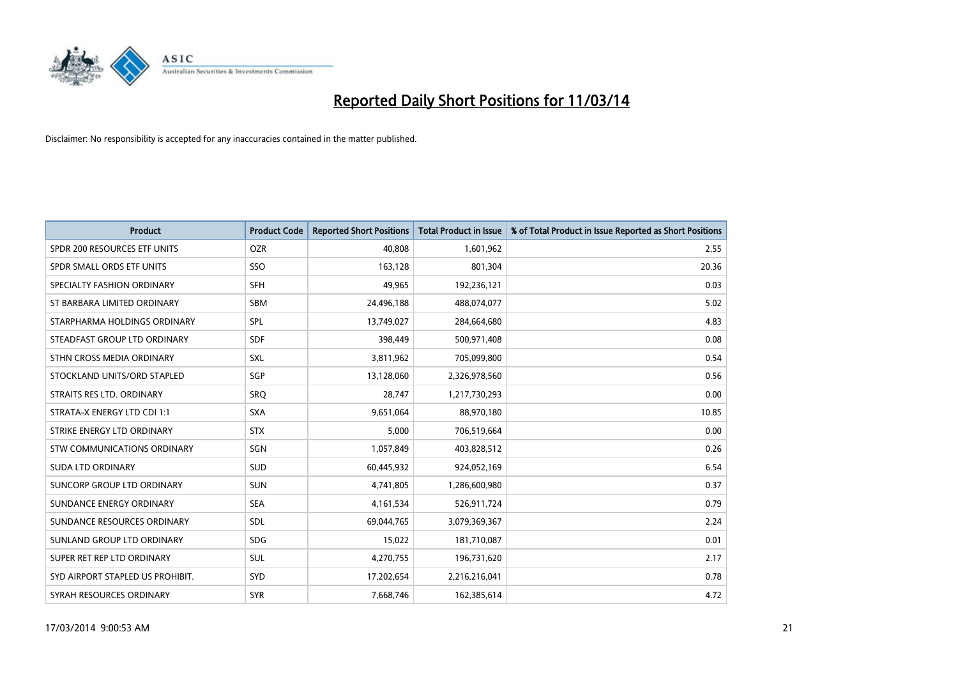

| <b>Product</b>                   | <b>Product Code</b> | <b>Reported Short Positions</b> | <b>Total Product in Issue</b> | % of Total Product in Issue Reported as Short Positions |
|----------------------------------|---------------------|---------------------------------|-------------------------------|---------------------------------------------------------|
| SPDR 200 RESOURCES ETF UNITS     | <b>OZR</b>          | 40.808                          | 1,601,962                     | 2.55                                                    |
| SPDR SMALL ORDS ETF UNITS        | SSO                 | 163,128                         | 801,304                       | 20.36                                                   |
| SPECIALTY FASHION ORDINARY       | <b>SFH</b>          | 49,965                          | 192,236,121                   | 0.03                                                    |
| ST BARBARA LIMITED ORDINARY      | <b>SBM</b>          | 24,496,188                      | 488,074,077                   | 5.02                                                    |
| STARPHARMA HOLDINGS ORDINARY     | SPL                 | 13,749,027                      | 284,664,680                   | 4.83                                                    |
| STEADFAST GROUP LTD ORDINARY     | <b>SDF</b>          | 398,449                         | 500,971,408                   | 0.08                                                    |
| STHN CROSS MEDIA ORDINARY        | SXL                 | 3,811,962                       | 705,099,800                   | 0.54                                                    |
| STOCKLAND UNITS/ORD STAPLED      | SGP                 | 13,128,060                      | 2,326,978,560                 | 0.56                                                    |
| STRAITS RES LTD. ORDINARY        | SRQ                 | 28,747                          | 1,217,730,293                 | 0.00                                                    |
| STRATA-X ENERGY LTD CDI 1:1      | <b>SXA</b>          | 9,651,064                       | 88,970,180                    | 10.85                                                   |
| STRIKE ENERGY LTD ORDINARY       | <b>STX</b>          | 5,000                           | 706,519,664                   | 0.00                                                    |
| STW COMMUNICATIONS ORDINARY      | SGN                 | 1,057,849                       | 403,828,512                   | 0.26                                                    |
| <b>SUDA LTD ORDINARY</b>         | <b>SUD</b>          | 60,445,932                      | 924,052,169                   | 6.54                                                    |
| SUNCORP GROUP LTD ORDINARY       | <b>SUN</b>          | 4,741,805                       | 1,286,600,980                 | 0.37                                                    |
| SUNDANCE ENERGY ORDINARY         | <b>SEA</b>          | 4,161,534                       | 526,911,724                   | 0.79                                                    |
| SUNDANCE RESOURCES ORDINARY      | <b>SDL</b>          | 69,044,765                      | 3,079,369,367                 | 2.24                                                    |
| SUNLAND GROUP LTD ORDINARY       | <b>SDG</b>          | 15,022                          | 181,710,087                   | 0.01                                                    |
| SUPER RET REP LTD ORDINARY       | <b>SUL</b>          | 4,270,755                       | 196,731,620                   | 2.17                                                    |
| SYD AIRPORT STAPLED US PROHIBIT. | SYD                 | 17,202,654                      | 2,216,216,041                 | 0.78                                                    |
| SYRAH RESOURCES ORDINARY         | <b>SYR</b>          | 7,668,746                       | 162,385,614                   | 4.72                                                    |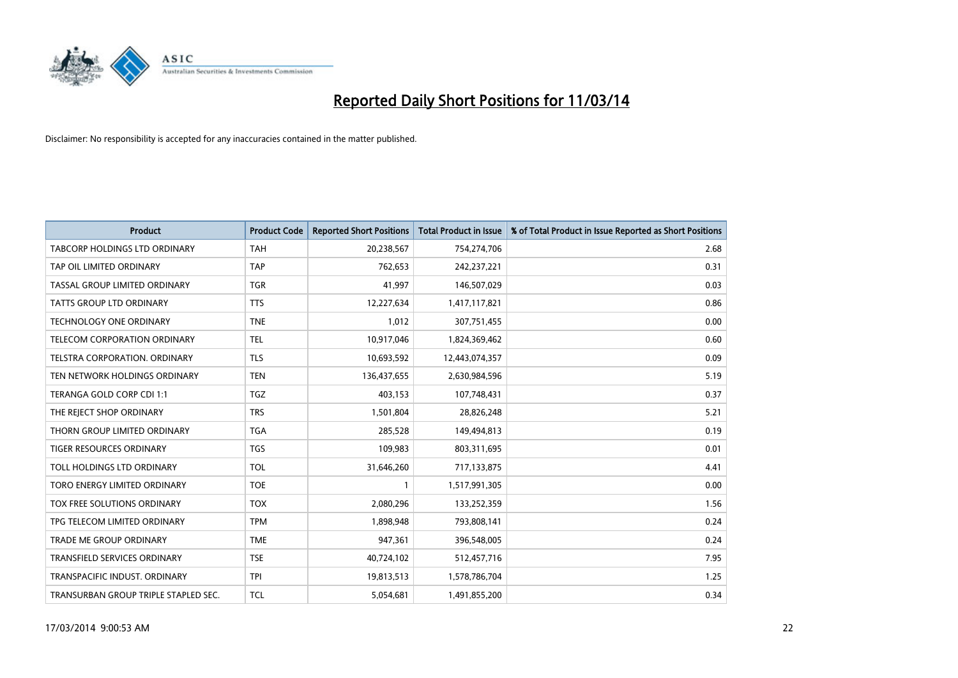

| <b>Product</b>                       | <b>Product Code</b> | <b>Reported Short Positions</b> | <b>Total Product in Issue</b> | % of Total Product in Issue Reported as Short Positions |
|--------------------------------------|---------------------|---------------------------------|-------------------------------|---------------------------------------------------------|
| <b>TABCORP HOLDINGS LTD ORDINARY</b> | <b>TAH</b>          | 20,238,567                      | 754,274,706                   | 2.68                                                    |
| TAP OIL LIMITED ORDINARY             | <b>TAP</b>          | 762,653                         | 242,237,221                   | 0.31                                                    |
| TASSAL GROUP LIMITED ORDINARY        | <b>TGR</b>          | 41,997                          | 146,507,029                   | 0.03                                                    |
| TATTS GROUP LTD ORDINARY             | <b>TTS</b>          | 12,227,634                      | 1,417,117,821                 | 0.86                                                    |
| <b>TECHNOLOGY ONE ORDINARY</b>       | <b>TNE</b>          | 1,012                           | 307,751,455                   | 0.00                                                    |
| TELECOM CORPORATION ORDINARY         | <b>TEL</b>          | 10,917,046                      | 1,824,369,462                 | 0.60                                                    |
| <b>TELSTRA CORPORATION, ORDINARY</b> | <b>TLS</b>          | 10,693,592                      | 12,443,074,357                | 0.09                                                    |
| TEN NETWORK HOLDINGS ORDINARY        | <b>TEN</b>          | 136,437,655                     | 2,630,984,596                 | 5.19                                                    |
| TERANGA GOLD CORP CDI 1:1            | <b>TGZ</b>          | 403,153                         | 107,748,431                   | 0.37                                                    |
| THE REIECT SHOP ORDINARY             | <b>TRS</b>          | 1,501,804                       | 28,826,248                    | 5.21                                                    |
| THORN GROUP LIMITED ORDINARY         | <b>TGA</b>          | 285,528                         | 149,494,813                   | 0.19                                                    |
| <b>TIGER RESOURCES ORDINARY</b>      | <b>TGS</b>          | 109,983                         | 803,311,695                   | 0.01                                                    |
| TOLL HOLDINGS LTD ORDINARY           | <b>TOL</b>          | 31,646,260                      | 717,133,875                   | 4.41                                                    |
| TORO ENERGY LIMITED ORDINARY         | <b>TOE</b>          |                                 | 1,517,991,305                 | 0.00                                                    |
| TOX FREE SOLUTIONS ORDINARY          | <b>TOX</b>          | 2,080,296                       | 133,252,359                   | 1.56                                                    |
| TPG TELECOM LIMITED ORDINARY         | <b>TPM</b>          | 1,898,948                       | 793,808,141                   | 0.24                                                    |
| <b>TRADE ME GROUP ORDINARY</b>       | <b>TME</b>          | 947,361                         | 396,548,005                   | 0.24                                                    |
| TRANSFIELD SERVICES ORDINARY         | <b>TSE</b>          | 40,724,102                      | 512,457,716                   | 7.95                                                    |
| TRANSPACIFIC INDUST, ORDINARY        | <b>TPI</b>          | 19,813,513                      | 1,578,786,704                 | 1.25                                                    |
| TRANSURBAN GROUP TRIPLE STAPLED SEC. | <b>TCL</b>          | 5.054.681                       | 1,491,855,200                 | 0.34                                                    |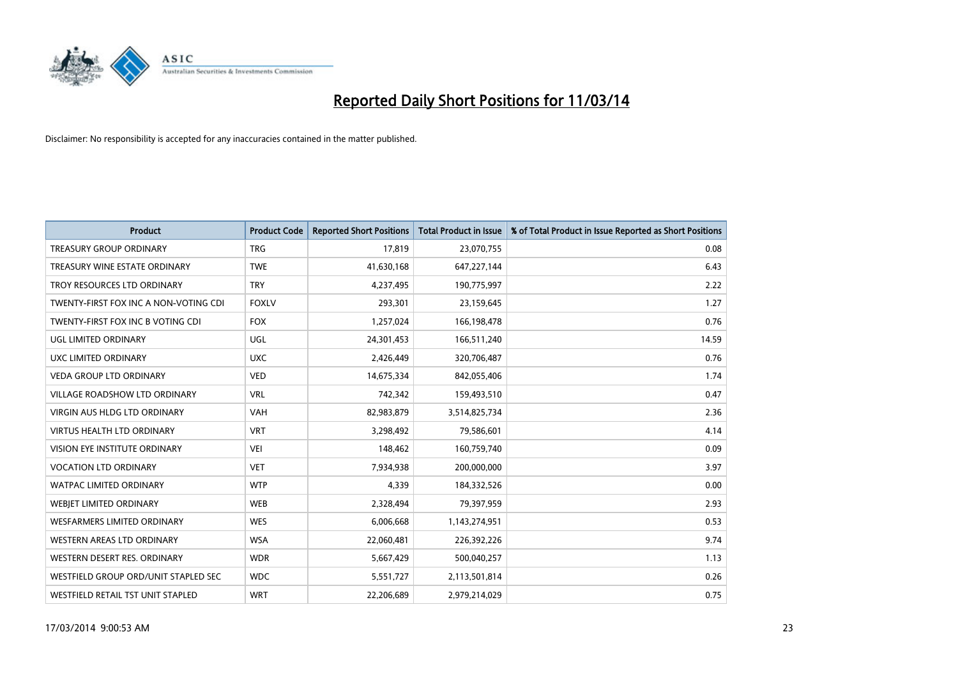

| <b>Product</b>                        | <b>Product Code</b> | <b>Reported Short Positions</b> | <b>Total Product in Issue</b> | % of Total Product in Issue Reported as Short Positions |
|---------------------------------------|---------------------|---------------------------------|-------------------------------|---------------------------------------------------------|
| <b>TREASURY GROUP ORDINARY</b>        | <b>TRG</b>          | 17,819                          | 23,070,755                    | 0.08                                                    |
| TREASURY WINE ESTATE ORDINARY         | <b>TWE</b>          | 41,630,168                      | 647,227,144                   | 6.43                                                    |
| TROY RESOURCES LTD ORDINARY           | <b>TRY</b>          | 4,237,495                       | 190,775,997                   | 2.22                                                    |
| TWENTY-FIRST FOX INC A NON-VOTING CDI | <b>FOXLV</b>        | 293,301                         | 23,159,645                    | 1.27                                                    |
| TWENTY-FIRST FOX INC B VOTING CDI     | <b>FOX</b>          | 1,257,024                       | 166,198,478                   | 0.76                                                    |
| UGL LIMITED ORDINARY                  | <b>UGL</b>          | 24,301,453                      | 166,511,240                   | 14.59                                                   |
| UXC LIMITED ORDINARY                  | <b>UXC</b>          | 2,426,449                       | 320,706,487                   | 0.76                                                    |
| VEDA GROUP LTD ORDINARY               | <b>VED</b>          | 14,675,334                      | 842,055,406                   | 1.74                                                    |
| <b>VILLAGE ROADSHOW LTD ORDINARY</b>  | <b>VRL</b>          | 742,342                         | 159,493,510                   | 0.47                                                    |
| <b>VIRGIN AUS HLDG LTD ORDINARY</b>   | <b>VAH</b>          | 82,983,879                      | 3,514,825,734                 | 2.36                                                    |
| VIRTUS HEALTH LTD ORDINARY            | <b>VRT</b>          | 3,298,492                       | 79,586,601                    | 4.14                                                    |
| <b>VISION EYE INSTITUTE ORDINARY</b>  | <b>VEI</b>          | 148,462                         | 160,759,740                   | 0.09                                                    |
| <b>VOCATION LTD ORDINARY</b>          | <b>VET</b>          | 7,934,938                       | 200,000,000                   | 3.97                                                    |
| <b>WATPAC LIMITED ORDINARY</b>        | <b>WTP</b>          | 4,339                           | 184,332,526                   | 0.00                                                    |
| WEBIET LIMITED ORDINARY               | <b>WEB</b>          | 2,328,494                       | 79,397,959                    | 2.93                                                    |
| <b>WESFARMERS LIMITED ORDINARY</b>    | <b>WES</b>          | 6,006,668                       | 1,143,274,951                 | 0.53                                                    |
| WESTERN AREAS LTD ORDINARY            | <b>WSA</b>          | 22,060,481                      | 226,392,226                   | 9.74                                                    |
| WESTERN DESERT RES. ORDINARY          | <b>WDR</b>          | 5,667,429                       | 500,040,257                   | 1.13                                                    |
| WESTFIELD GROUP ORD/UNIT STAPLED SEC  | <b>WDC</b>          | 5,551,727                       | 2,113,501,814                 | 0.26                                                    |
| WESTFIELD RETAIL TST UNIT STAPLED     | <b>WRT</b>          | 22,206,689                      | 2,979,214,029                 | 0.75                                                    |